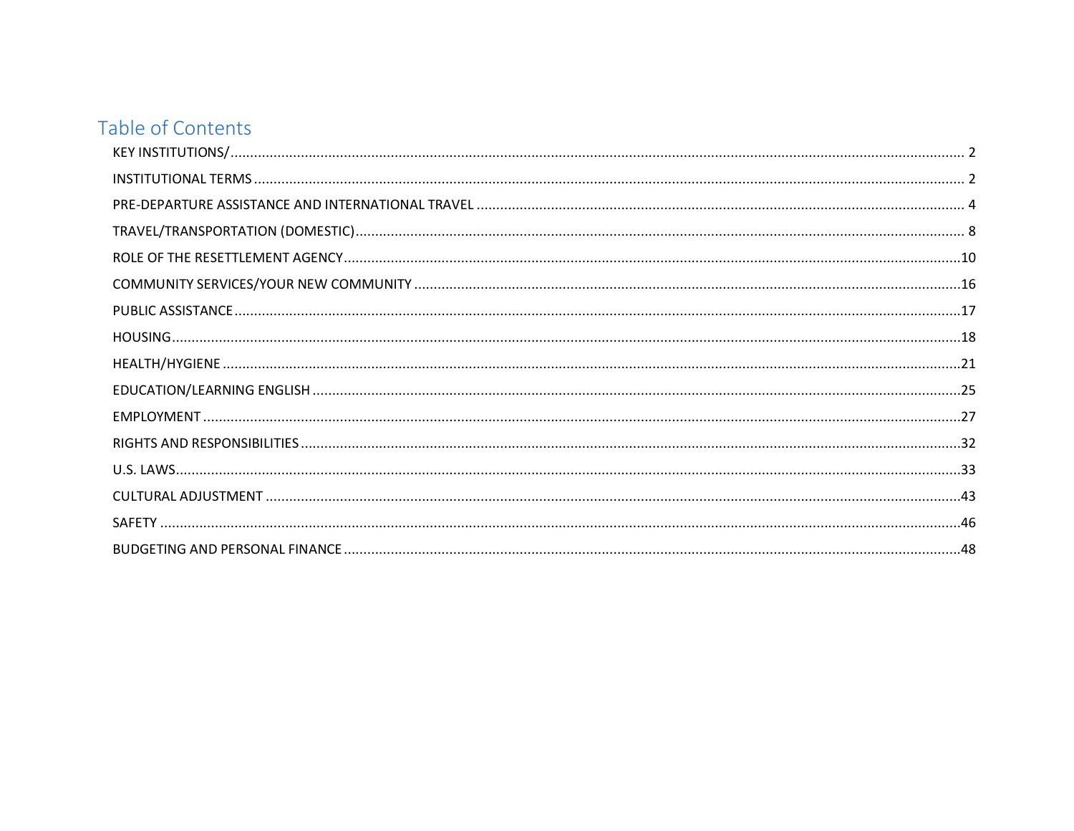## Table of Contents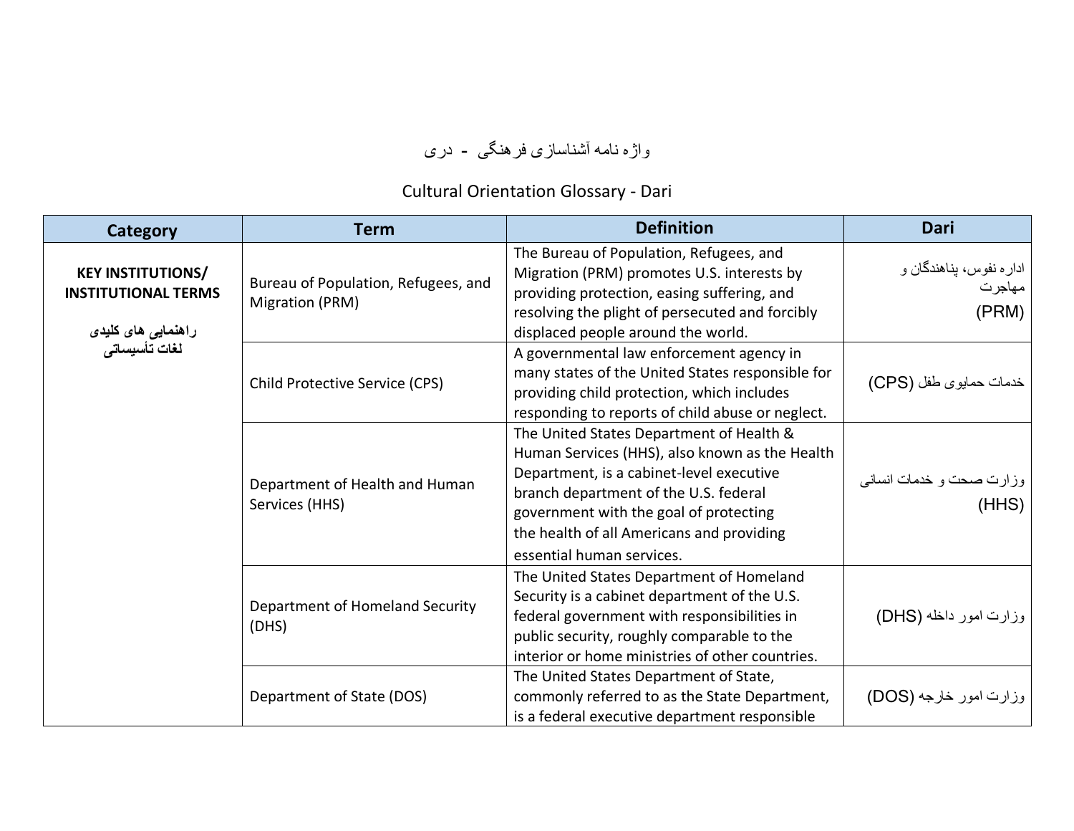## واژه نامه آشناساز ی فرهنگی - دری

## Cultural Orientation Glossary - Dari

<span id="page-1-1"></span><span id="page-1-0"></span>

| Category                                                                                      | <b>Term</b>                                            | <b>Definition</b>                                                                                                                                                                                                                                                                                   | Dari                                       |
|-----------------------------------------------------------------------------------------------|--------------------------------------------------------|-----------------------------------------------------------------------------------------------------------------------------------------------------------------------------------------------------------------------------------------------------------------------------------------------------|--------------------------------------------|
| <b>KEY INSTITUTIONS/</b><br><b>INSTITUTIONAL TERMS</b><br>راهنمایی های کلیدی<br>لغات تأسیساتی | Bureau of Population, Refugees, and<br>Migration (PRM) | The Bureau of Population, Refugees, and<br>Migration (PRM) promotes U.S. interests by<br>providing protection, easing suffering, and<br>resolving the plight of persecuted and forcibly<br>displaced people around the world.                                                                       | اداره نفوس، پناهندگان و<br>مهاجرت<br>(PRM) |
|                                                                                               | Child Protective Service (CPS)                         | A governmental law enforcement agency in<br>many states of the United States responsible for<br>providing child protection, which includes<br>responding to reports of child abuse or neglect.                                                                                                      | خدمات حمایوی طفل (CPS)                     |
|                                                                                               | Department of Health and Human<br>Services (HHS)       | The United States Department of Health &<br>Human Services (HHS), also known as the Health<br>Department, is a cabinet-level executive<br>branch department of the U.S. federal<br>government with the goal of protecting<br>the health of all Americans and providing<br>essential human services. | وزارت صحت و خدمات انساني<br>(HHS)          |
|                                                                                               | Department of Homeland Security<br>(DHS)               | The United States Department of Homeland<br>Security is a cabinet department of the U.S.<br>federal government with responsibilities in<br>public security, roughly comparable to the<br>interior or home ministries of other countries.                                                            | وزارت امور داخله (DHS)                     |
|                                                                                               | Department of State (DOS)                              | The United States Department of State,<br>commonly referred to as the State Department,<br>is a federal executive department responsible                                                                                                                                                            | وزارت امور خارجه (DOS)                     |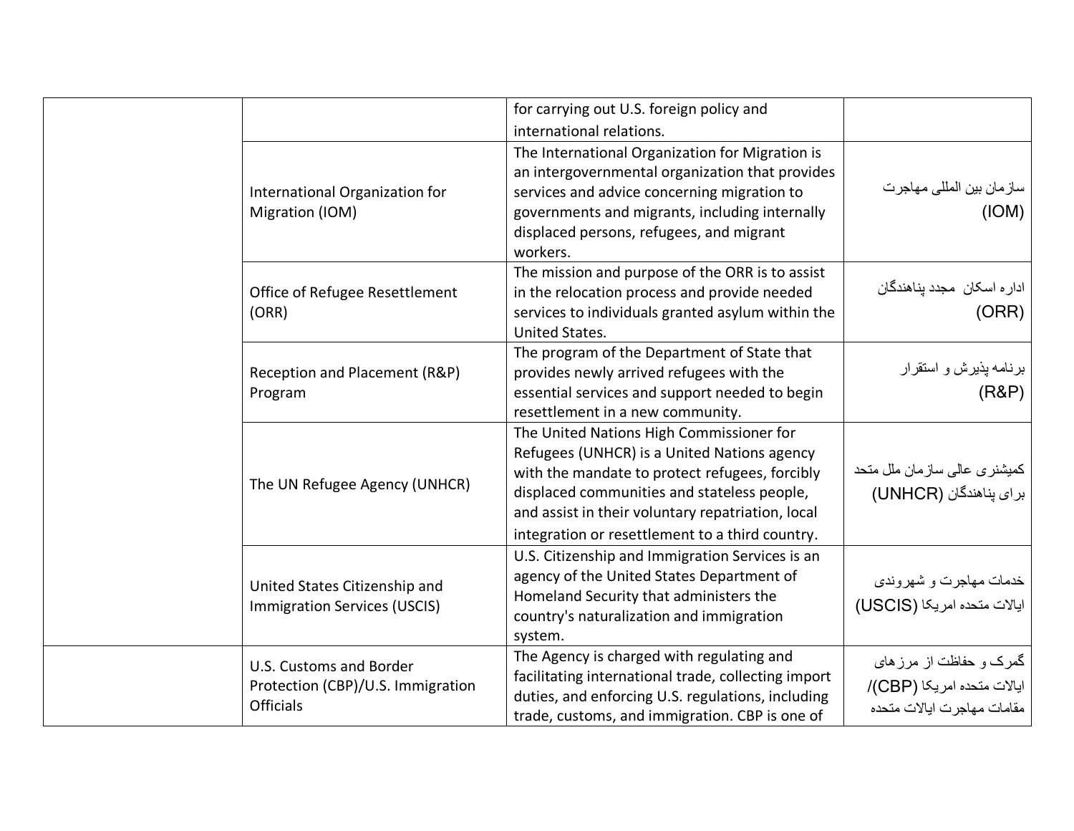|                                                                                  | for carrying out U.S. foreign policy and<br>international relations.                                                                                                                                                                                                                             |                                                                                     |
|----------------------------------------------------------------------------------|--------------------------------------------------------------------------------------------------------------------------------------------------------------------------------------------------------------------------------------------------------------------------------------------------|-------------------------------------------------------------------------------------|
| International Organization for<br>Migration (IOM)                                | The International Organization for Migration is<br>an intergovernmental organization that provides<br>services and advice concerning migration to<br>governments and migrants, including internally<br>displaced persons, refugees, and migrant<br>workers.                                      | سازمان بين المللي مهاجرت<br>( IOM)                                                  |
| Office of Refugee Resettlement<br>(ORR)                                          | The mission and purpose of the ORR is to assist<br>in the relocation process and provide needed<br>services to individuals granted asylum within the<br><b>United States.</b>                                                                                                                    | ادار ه اسکان مجدد پناهندگان<br>(ORR)                                                |
| Reception and Placement (R&P)<br>Program                                         | The program of the Department of State that<br>provides newly arrived refugees with the<br>essential services and support needed to begin<br>resettlement in a new community.                                                                                                                    | برنامه پذیرش و استقرار<br>(R&P)                                                     |
| The UN Refugee Agency (UNHCR)                                                    | The United Nations High Commissioner for<br>Refugees (UNHCR) is a United Nations agency<br>with the mandate to protect refugees, forcibly<br>displaced communities and stateless people,<br>and assist in their voluntary repatriation, local<br>integration or resettlement to a third country. | کمیشنری عالی سازمان ملل متحد<br>برای پناهندگان (UNHCR)                              |
| United States Citizenship and<br><b>Immigration Services (USCIS)</b>             | U.S. Citizenship and Immigration Services is an<br>agency of the United States Department of<br>Homeland Security that administers the<br>country's naturalization and immigration<br>system.                                                                                                    | خدمات مهاجرت و شهروندي<br>ایالات متحده امریکا (USCIS)                               |
| U.S. Customs and Border<br>Protection (CBP)/U.S. Immigration<br><b>Officials</b> | The Agency is charged with regulating and<br>facilitating international trade, collecting import<br>duties, and enforcing U.S. regulations, including<br>trade, customs, and immigration. CBP is one of                                                                                          | گمرک و حفاظت از مرز های<br>ايالات متحده امريكا (CBP)/<br>مقامات مهاجرت ايالات متحده |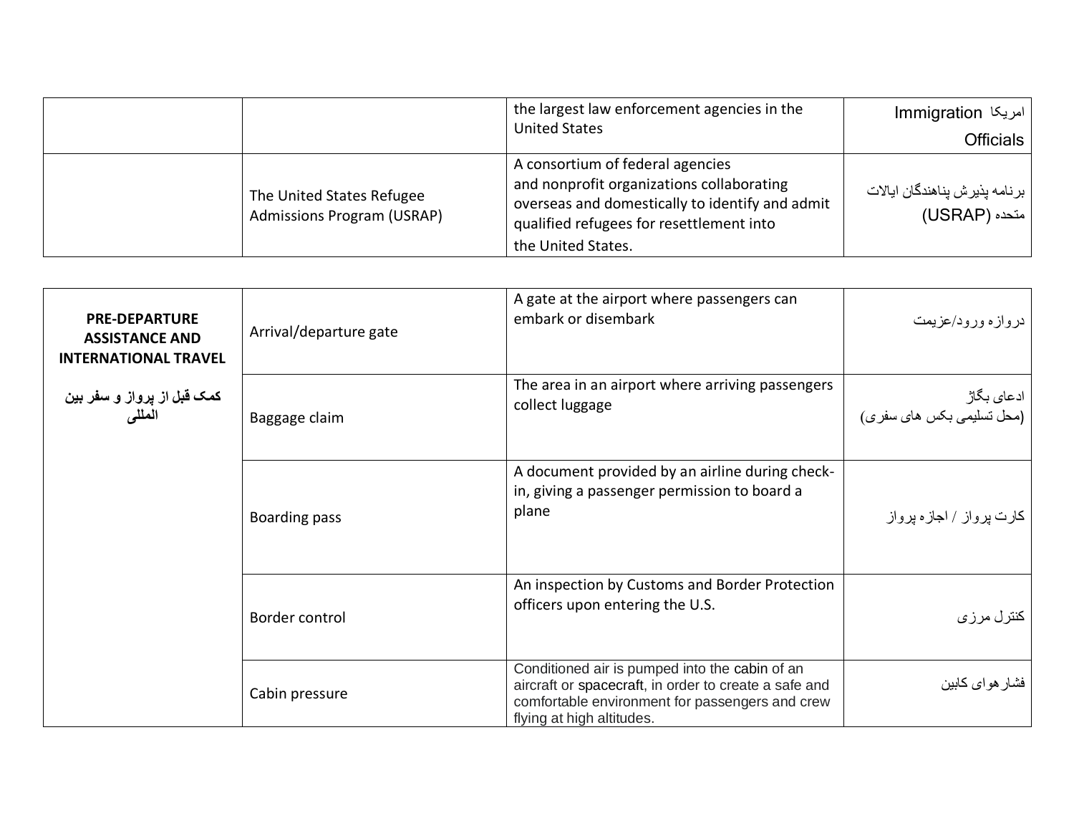|                                                                | the largest law enforcement agencies in the<br><b>United States</b>                                                                                                                                | امریکا Immigration<br>Officials                  |
|----------------------------------------------------------------|----------------------------------------------------------------------------------------------------------------------------------------------------------------------------------------------------|--------------------------------------------------|
| The United States Refugee<br><b>Admissions Program (USRAP)</b> | A consortium of federal agencies<br>and nonprofit organizations collaborating<br>overseas and domestically to identify and admit<br>qualified refugees for resettlement into<br>the United States. | برنامه پذیرش پناهندگان ایالات<br>  متحده (USRAP) |

<span id="page-3-0"></span>

| <b>PRE-DEPARTURE</b><br><b>ASSISTANCE AND</b><br><b>INTERNATIONAL TRAVEL</b> | Arrival/departure gate | A gate at the airport where passengers can<br>embark or disembark                                                                                                                       | دروازه ورود/عزيمت                        |
|------------------------------------------------------------------------------|------------------------|-----------------------------------------------------------------------------------------------------------------------------------------------------------------------------------------|------------------------------------------|
| کمک قبل از پرواز و سفر بین<br>الملل <i>ی</i>                                 | Baggage claim          | The area in an airport where arriving passengers<br>collect luggage                                                                                                                     | ادعای بگاژ<br>(محل تسلیمی بکس های سفر ی) |
|                                                                              | Boarding pass          | A document provided by an airline during check-<br>in, giving a passenger permission to board a<br>plane                                                                                | کارت پرواز / اجازه پرواز                 |
|                                                                              | Border control         | An inspection by Customs and Border Protection<br>officers upon entering the U.S.                                                                                                       | كنترل مرزى                               |
|                                                                              | Cabin pressure         | Conditioned air is pumped into the cabin of an<br>aircraft or spacecraft, in order to create a safe and<br>comfortable environment for passengers and crew<br>flying at high altitudes. | فشار هواى كابين                          |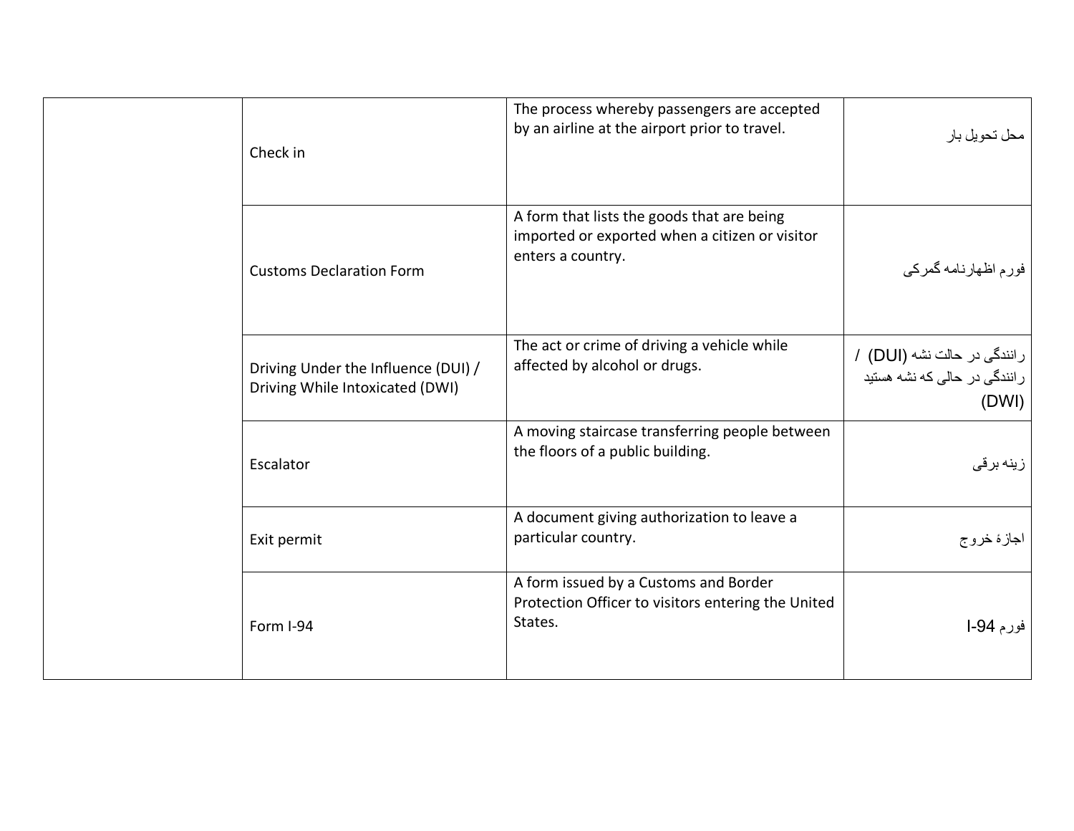| Check in                                                               | The process whereby passengers are accepted<br>by an airline at the airport prior to travel.                      | محل تحويل بار                                                        |
|------------------------------------------------------------------------|-------------------------------------------------------------------------------------------------------------------|----------------------------------------------------------------------|
| <b>Customs Declaration Form</b>                                        | A form that lists the goods that are being<br>imported or exported when a citizen or visitor<br>enters a country. | فورم اظهارنامه گمركي                                                 |
| Driving Under the Influence (DUI) /<br>Driving While Intoxicated (DWI) | The act or crime of driving a vehicle while<br>affected by alcohol or drugs.                                      | رانندگی در حالت نشه (DUI) /<br>رانندگی در حالی که نشه هستید<br>(DWI) |
| Escalator                                                              | A moving staircase transferring people between<br>the floors of a public building.                                | زینه برقی                                                            |
| Exit permit                                                            | A document giving authorization to leave a<br>particular country.                                                 | اجازهٔ خروج                                                          |
| Form I-94                                                              | A form issued by a Customs and Border<br>Protection Officer to visitors entering the United<br>States.            | فورم 94-ا                                                            |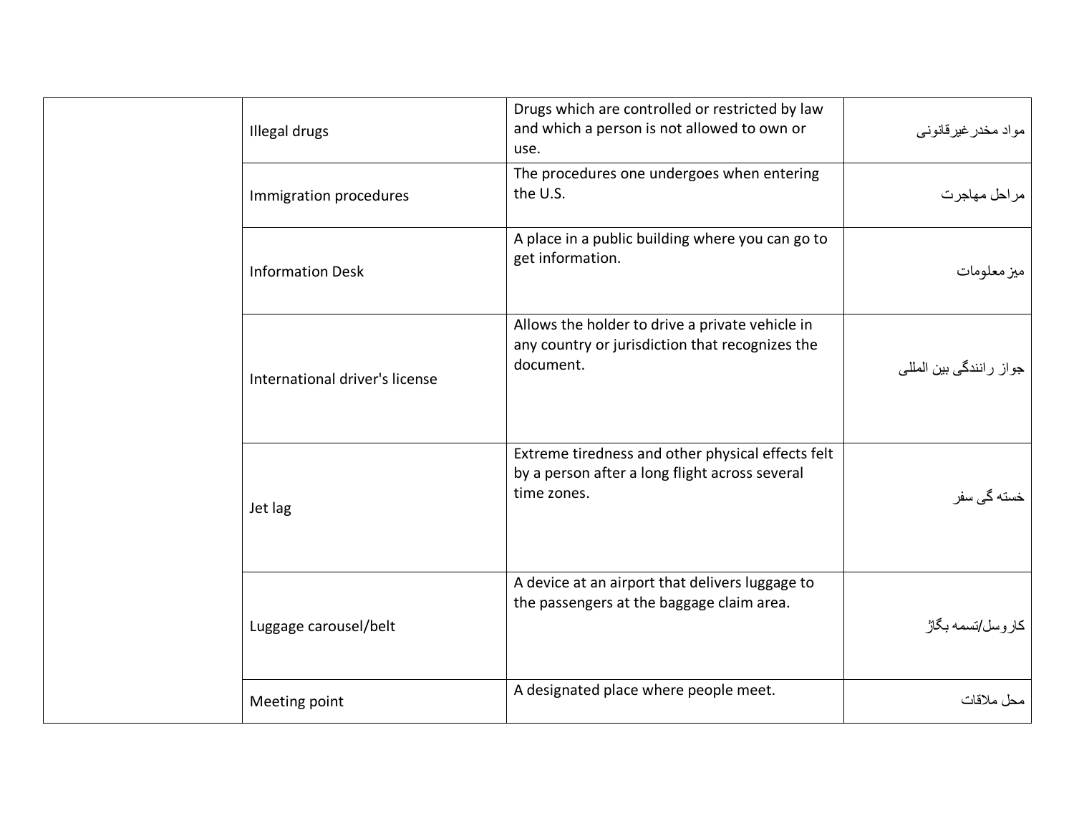| Illegal drugs                  | Drugs which are controlled or restricted by law<br>and which a person is not allowed to own or<br>use.             | مواد مخدر غیرقانونی     |
|--------------------------------|--------------------------------------------------------------------------------------------------------------------|-------------------------|
| Immigration procedures         | The procedures one undergoes when entering<br>the U.S.                                                             | مراحل مهاجرت            |
| <b>Information Desk</b>        | A place in a public building where you can go to<br>get information.                                               | ميز معلومات             |
| International driver's license | Allows the holder to drive a private vehicle in<br>any country or jurisdiction that recognizes the<br>document.    | جواز رانندگی بین المللی |
| Jet lag                        | Extreme tiredness and other physical effects felt<br>by a person after a long flight across several<br>time zones. | خسته گی سفر             |
| Luggage carousel/belt          | A device at an airport that delivers luggage to<br>the passengers at the baggage claim area.                       | كار وسل/تسمه بگاژ       |
| Meeting point                  | A designated place where people meet.                                                                              | محل ملاقات              |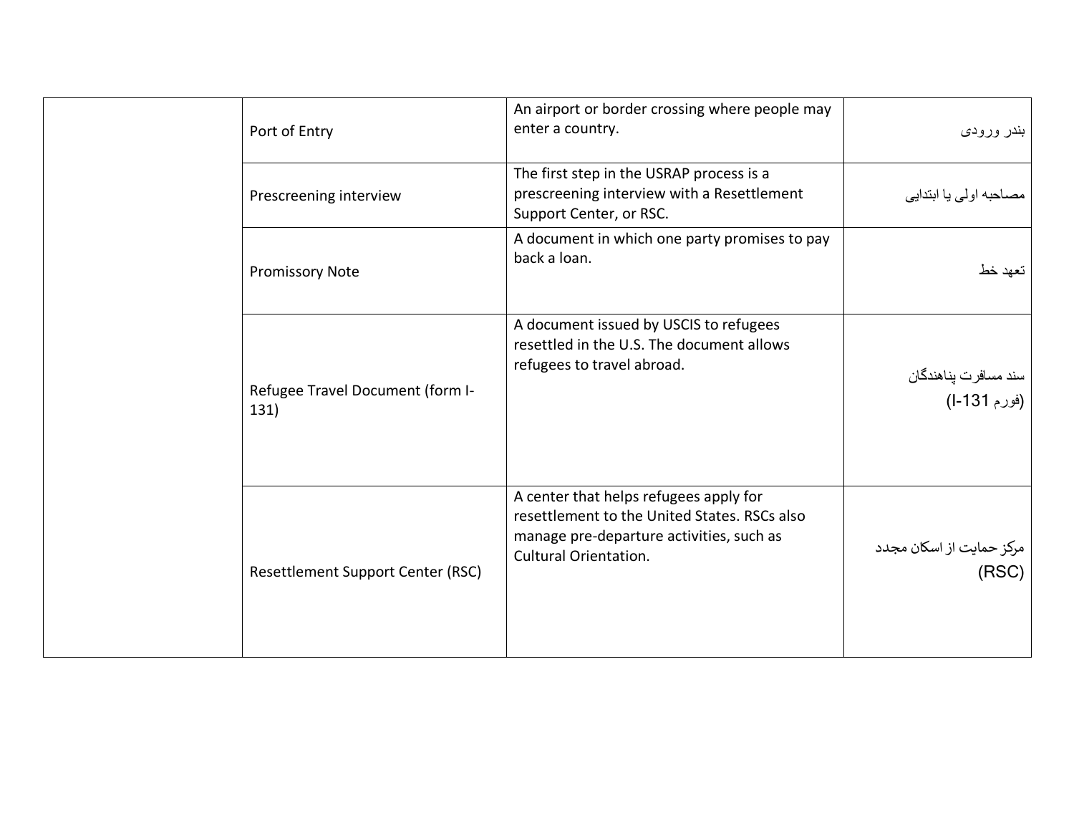| Port of Entry                            | An airport or border crossing where people may<br>enter a country.                                                                                                 | بندر ورودي                           |
|------------------------------------------|--------------------------------------------------------------------------------------------------------------------------------------------------------------------|--------------------------------------|
| Prescreening interview                   | The first step in the USRAP process is a<br>prescreening interview with a Resettlement<br>Support Center, or RSC.                                                  | مصاحبه اولى يا ابتدايي               |
| <b>Promissory Note</b>                   | A document in which one party promises to pay<br>back a loan.                                                                                                      | تعهد خط                              |
| Refugee Travel Document (form I-<br>131) | A document issued by USCIS to refugees<br>resettled in the U.S. The document allows<br>refugees to travel abroad.                                                  | سند مسافرت پناهندگان<br>(فورم 131-ا) |
| Resettlement Support Center (RSC)        | A center that helps refugees apply for<br>resettlement to the United States. RSCs also<br>manage pre-departure activities, such as<br><b>Cultural Orientation.</b> | مرکز حمایت از اسکان مجدد<br>(RSC)    |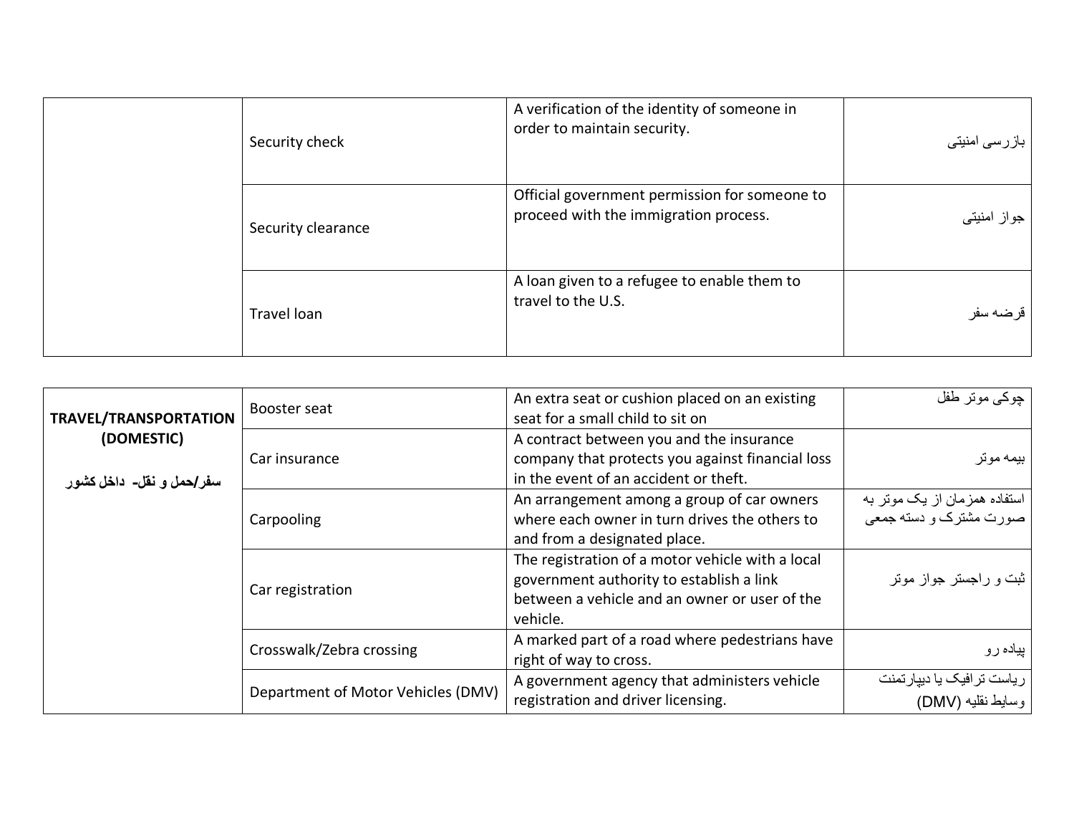|  | Security check     | A verification of the identity of someone in<br>order to maintain security.            | بازرسی امنیتی |
|--|--------------------|----------------------------------------------------------------------------------------|---------------|
|  | Security clearance | Official government permission for someone to<br>proceed with the immigration process. | جواز امنیتی   |
|  | Travel loan        | A loan given to a refugee to enable them to<br>travel to the U.S.                      | قرضه سفر      |

<span id="page-7-0"></span>

| <b>TRAVEL/TRANSPORTATION</b>           | Booster seat                       | An extra seat or cushion placed on an existing<br>seat for a small child to sit on                                                                        | چوکی موتر طفل                                          |
|----------------------------------------|------------------------------------|-----------------------------------------------------------------------------------------------------------------------------------------------------------|--------------------------------------------------------|
| (DOMESTIC)<br>سفر/حمل و نقل- داخل کشور | Car insurance                      | A contract between you and the insurance<br>company that protects you against financial loss<br>in the event of an accident or theft.                     | بيمه موتر                                              |
|                                        | Carpooling                         | An arrangement among a group of car owners<br>where each owner in turn drives the others to<br>and from a designated place.                               | استفاده همزمان از یک موتر به<br>صورت مشترک و دسته جمعی |
|                                        | Car registration                   | The registration of a motor vehicle with a local<br>government authority to establish a link<br>between a vehicle and an owner or user of the<br>vehicle. | ثبت و راجستر جواز موتر                                 |
|                                        | Crosswalk/Zebra crossing           | A marked part of a road where pedestrians have<br>right of way to cross.                                                                                  | پیاده رو                                               |
|                                        | Department of Motor Vehicles (DMV) | A government agency that administers vehicle<br>registration and driver licensing.                                                                        | ریاست ترافیک یا دیپارتمنت<br>وسايط نقليه (DMV)         |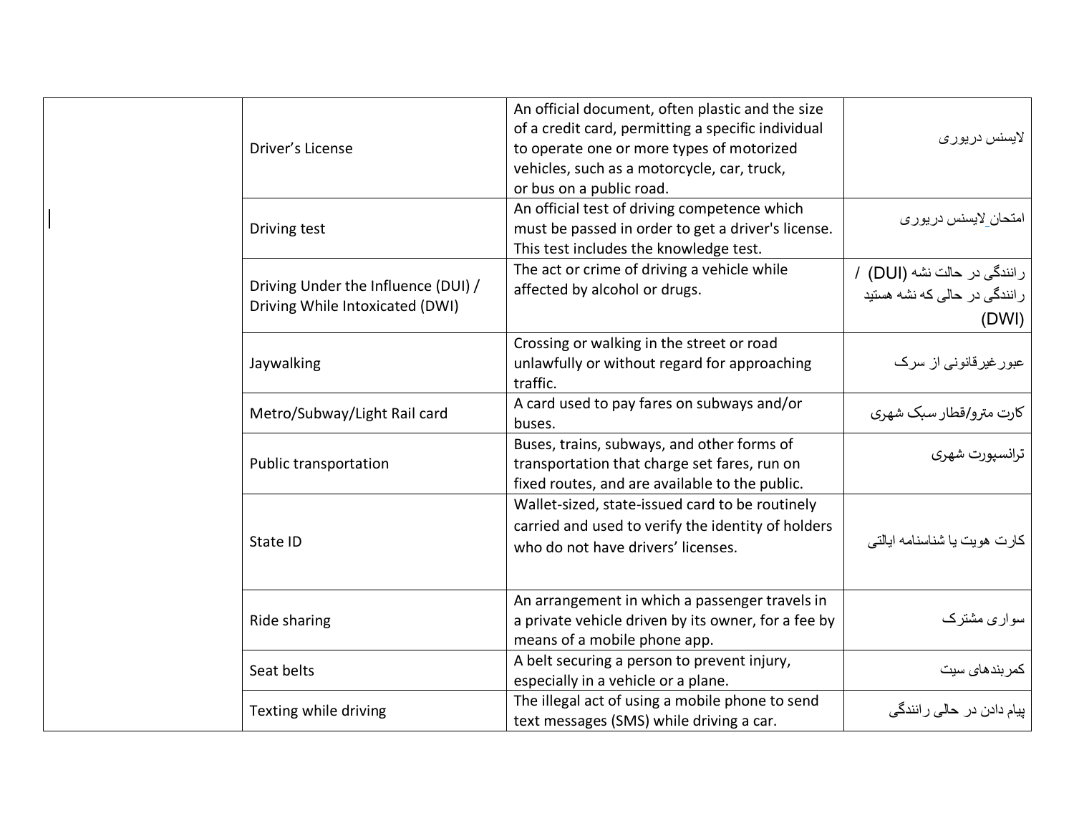| Driver's License                                                       | An official document, often plastic and the size<br>of a credit card, permitting a specific individual<br>to operate one or more types of motorized<br>vehicles, such as a motorcycle, car, truck,<br>or bus on a public road. | لايسنس در يوري                                                        |
|------------------------------------------------------------------------|--------------------------------------------------------------------------------------------------------------------------------------------------------------------------------------------------------------------------------|-----------------------------------------------------------------------|
| Driving test                                                           | An official test of driving competence which<br>must be passed in order to get a driver's license.<br>This test includes the knowledge test.                                                                                   | امتحان_لايسنس دريورى                                                  |
| Driving Under the Influence (DUI) /<br>Driving While Intoxicated (DWI) | The act or crime of driving a vehicle while<br>affected by alcohol or drugs.                                                                                                                                                   | رانندگی در حالت نشه (DUI) /<br>ر انندگی در حالی که نشه هستید<br>(DWI) |
| Jaywalking                                                             | Crossing or walking in the street or road<br>unlawfully or without regard for approaching<br>traffic.                                                                                                                          | عبور غیرقانونی از سرک                                                 |
| Metro/Subway/Light Rail card                                           | A card used to pay fares on subways and/or<br>buses.                                                                                                                                                                           | كارت مترو/قطار سبك شهري                                               |
| Public transportation                                                  | Buses, trains, subways, and other forms of<br>transportation that charge set fares, run on<br>fixed routes, and are available to the public.                                                                                   | ترانسپورت شهری                                                        |
| State ID                                                               | Wallet-sized, state-issued card to be routinely<br>carried and used to verify the identity of holders<br>who do not have drivers' licenses.                                                                                    | كارت هويت يا شناسنامه ايالتي                                          |
| Ride sharing                                                           | An arrangement in which a passenger travels in<br>a private vehicle driven by its owner, for a fee by<br>means of a mobile phone app.                                                                                          | سواری مشترک                                                           |
| Seat belts                                                             | A belt securing a person to prevent injury,<br>especially in a vehicle or a plane.                                                                                                                                             | كمر بندهاى سيت                                                        |
| Texting while driving                                                  | The illegal act of using a mobile phone to send<br>text messages (SMS) while driving a car.                                                                                                                                    | بیام دادن در حال <i>ی ر</i> انندگی                                    |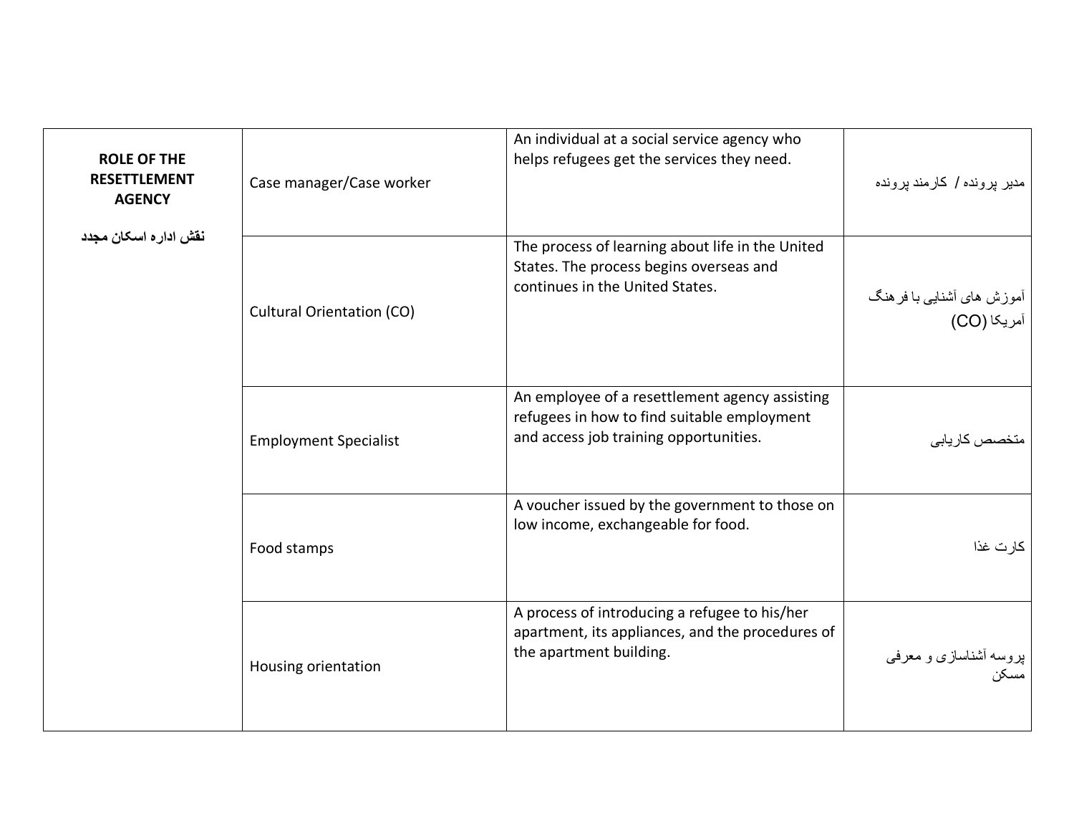<span id="page-9-0"></span>

| <b>ROLE OF THE</b><br><b>RESETTLEMENT</b><br><b>AGENCY</b> | Case manager/Case worker         | An individual at a social service agency who<br>helps refugees get the services they need.                                              | مدیر پرونده / کارمند پرونده              |
|------------------------------------------------------------|----------------------------------|-----------------------------------------------------------------------------------------------------------------------------------------|------------------------------------------|
| نقش اداره اسكان مجدد                                       | <b>Cultural Orientation (CO)</b> | The process of learning about life in the United<br>States. The process begins overseas and<br>continues in the United States.          | آموزش های آشنایی با فرهنگ<br>آمریکا (CO) |
|                                                            | <b>Employment Specialist</b>     | An employee of a resettlement agency assisting<br>refugees in how to find suitable employment<br>and access job training opportunities. | متخصص كاريابى                            |
|                                                            | Food stamps                      | A voucher issued by the government to those on<br>low income, exchangeable for food.                                                    | كارت غذا                                 |
|                                                            | Housing orientation              | A process of introducing a refugee to his/her<br>apartment, its appliances, and the procedures of<br>the apartment building.            | پروسه أشناسازی و معرفی<br>مسکن           |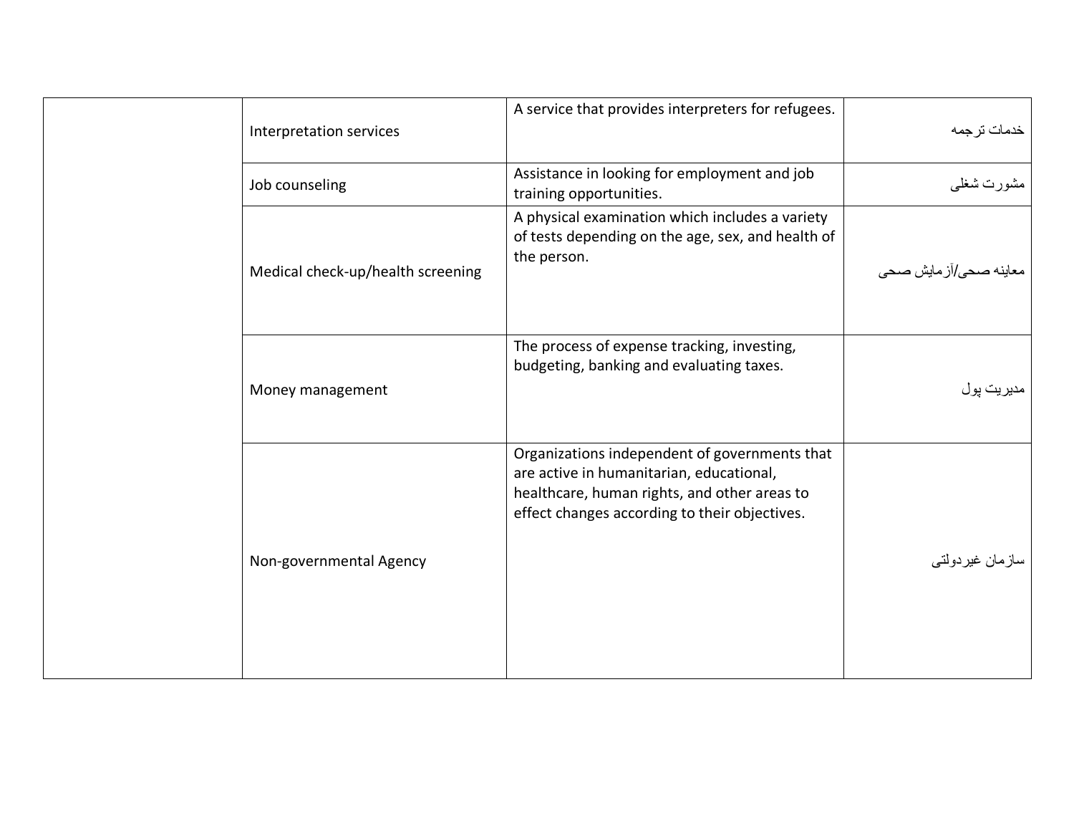| Interpretation services           | A service that provides interpreters for refugees.                                                                                                                                         | خدمات ترجمه              |
|-----------------------------------|--------------------------------------------------------------------------------------------------------------------------------------------------------------------------------------------|--------------------------|
| Job counseling                    | Assistance in looking for employment and job<br>training opportunities.                                                                                                                    | مشورت شغلي               |
| Medical check-up/health screening | A physical examination which includes a variety<br>of tests depending on the age, sex, and health of<br>the person.                                                                        | ىعاينە صىحى/از مايش صىحى |
| Money management                  | The process of expense tracking, investing,<br>budgeting, banking and evaluating taxes.                                                                                                    | مديريت پول               |
| Non-governmental Agency           | Organizations independent of governments that<br>are active in humanitarian, educational,<br>healthcare, human rights, and other areas to<br>effect changes according to their objectives. | سازمان غيردولتي          |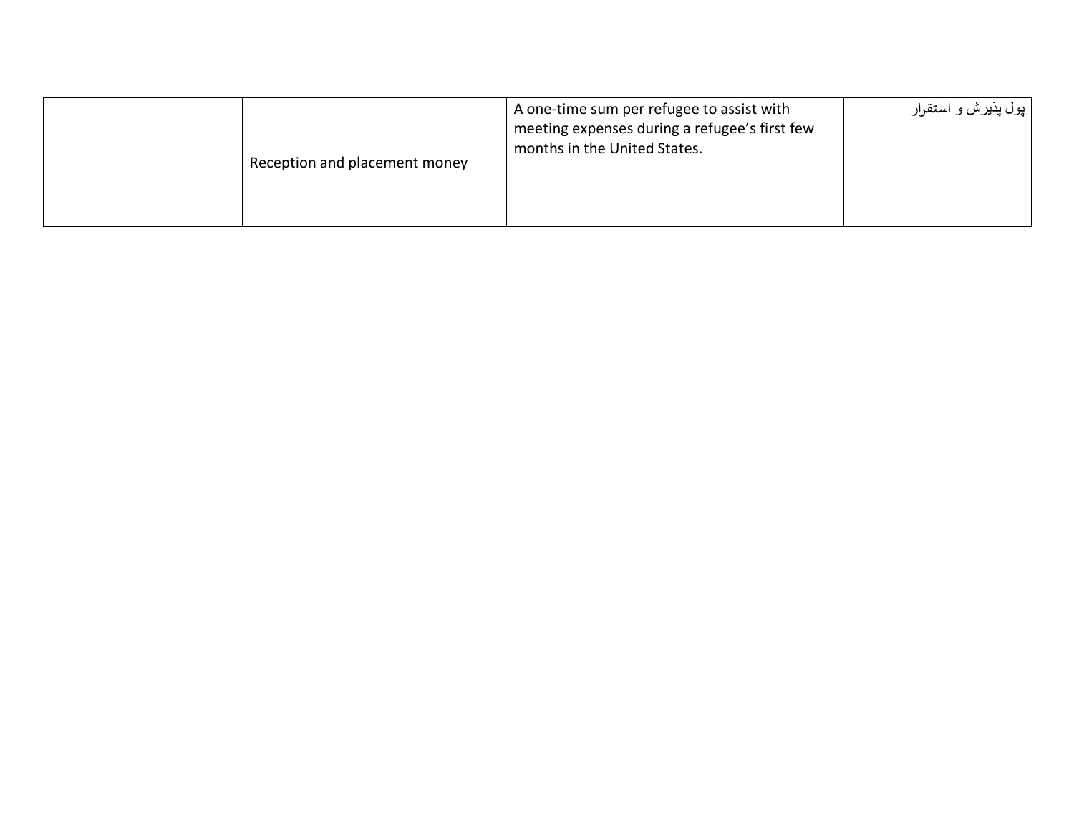| Reception and placement money | A one-time sum per refugee to assist with<br>meeting expenses during a refugee's first few<br>months in the United States. | پول پذيرش و استقرار |
|-------------------------------|----------------------------------------------------------------------------------------------------------------------------|---------------------|
|-------------------------------|----------------------------------------------------------------------------------------------------------------------------|---------------------|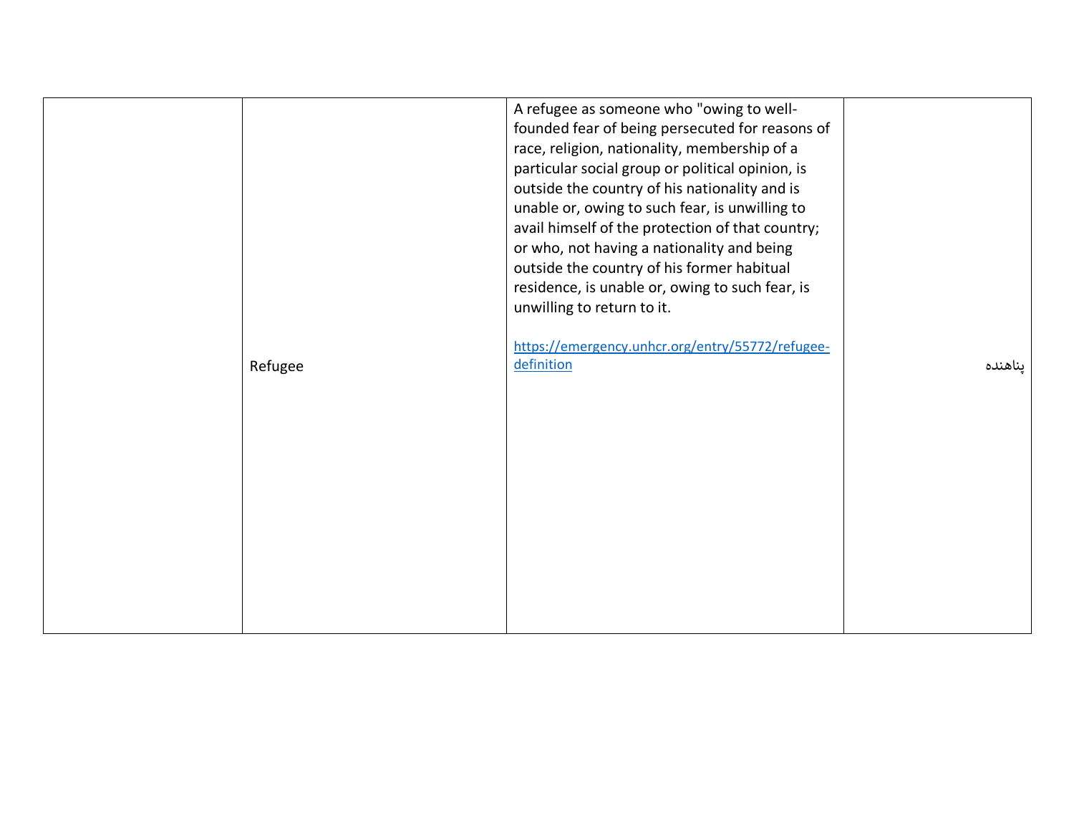|         | A refugee as someone who "owing to well-<br>founded fear of being persecuted for reasons of<br>race, religion, nationality, membership of a<br>particular social group or political opinion, is<br>outside the country of his nationality and is<br>unable or, owing to such fear, is unwilling to<br>avail himself of the protection of that country;<br>or who, not having a nationality and being<br>outside the country of his former habitual<br>residence, is unable or, owing to such fear, is<br>unwilling to return to it. |         |
|---------|-------------------------------------------------------------------------------------------------------------------------------------------------------------------------------------------------------------------------------------------------------------------------------------------------------------------------------------------------------------------------------------------------------------------------------------------------------------------------------------------------------------------------------------|---------|
| Refugee | https://emergency.unhcr.org/entry/55772/refugee-<br>definition                                                                                                                                                                                                                                                                                                                                                                                                                                                                      | يناهنده |
|         |                                                                                                                                                                                                                                                                                                                                                                                                                                                                                                                                     |         |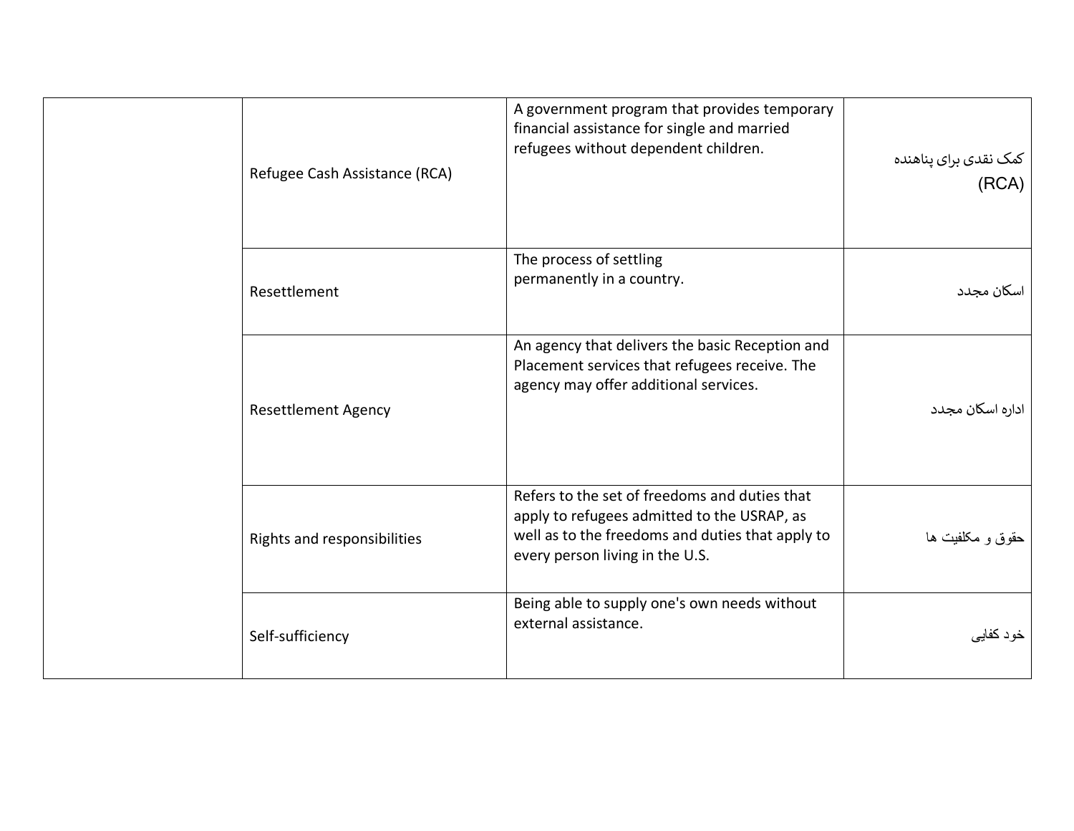| Refugee Cash Assistance (RCA) | A government program that provides temporary<br>financial assistance for single and married<br>refugees without dependent children.                                                 | کمک نقدی برای پناهنده<br>(RCA) |
|-------------------------------|-------------------------------------------------------------------------------------------------------------------------------------------------------------------------------------|--------------------------------|
| Resettlement                  | The process of settling<br>permanently in a country.                                                                                                                                | اسكان مجدد                     |
| <b>Resettlement Agency</b>    | An agency that delivers the basic Reception and<br>Placement services that refugees receive. The<br>agency may offer additional services.                                           | اداره اسکان مجدد               |
| Rights and responsibilities   | Refers to the set of freedoms and duties that<br>apply to refugees admitted to the USRAP, as<br>well as to the freedoms and duties that apply to<br>every person living in the U.S. | حقوق و مكلفيت ها               |
| Self-sufficiency              | Being able to supply one's own needs without<br>external assistance.                                                                                                                | خود كفايي                      |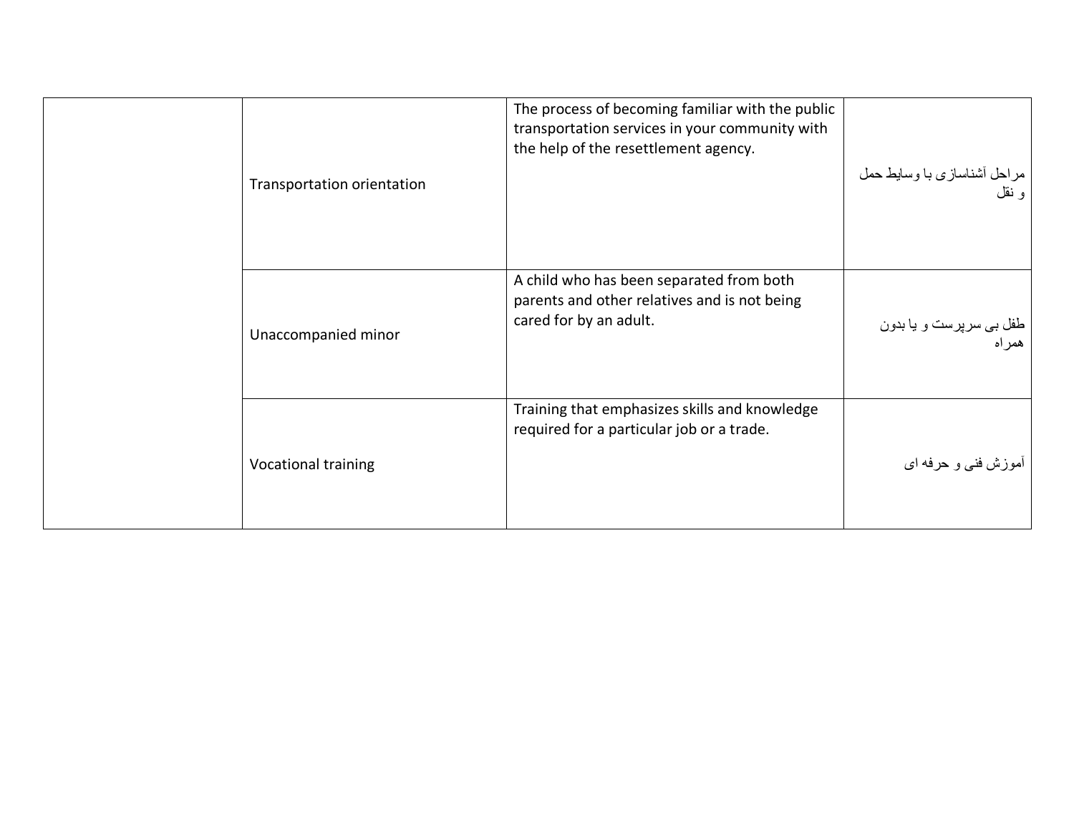|  | Transportation orientation | The process of becoming familiar with the public<br>transportation services in your community with<br>the help of the resettlement agency. | مراحل أشناسازي با وسايط حمل<br>و نقل |
|--|----------------------------|--------------------------------------------------------------------------------------------------------------------------------------------|--------------------------------------|
|  | Unaccompanied minor        | A child who has been separated from both<br>parents and other relatives and is not being<br>cared for by an adult.                         | طفل بي سرپرست و يا بدون<br>همر اه    |
|  | Vocational training        | Training that emphasizes skills and knowledge<br>required for a particular job or a trade.                                                 | <sup>آ</sup> موزش فني و حرفه اي      |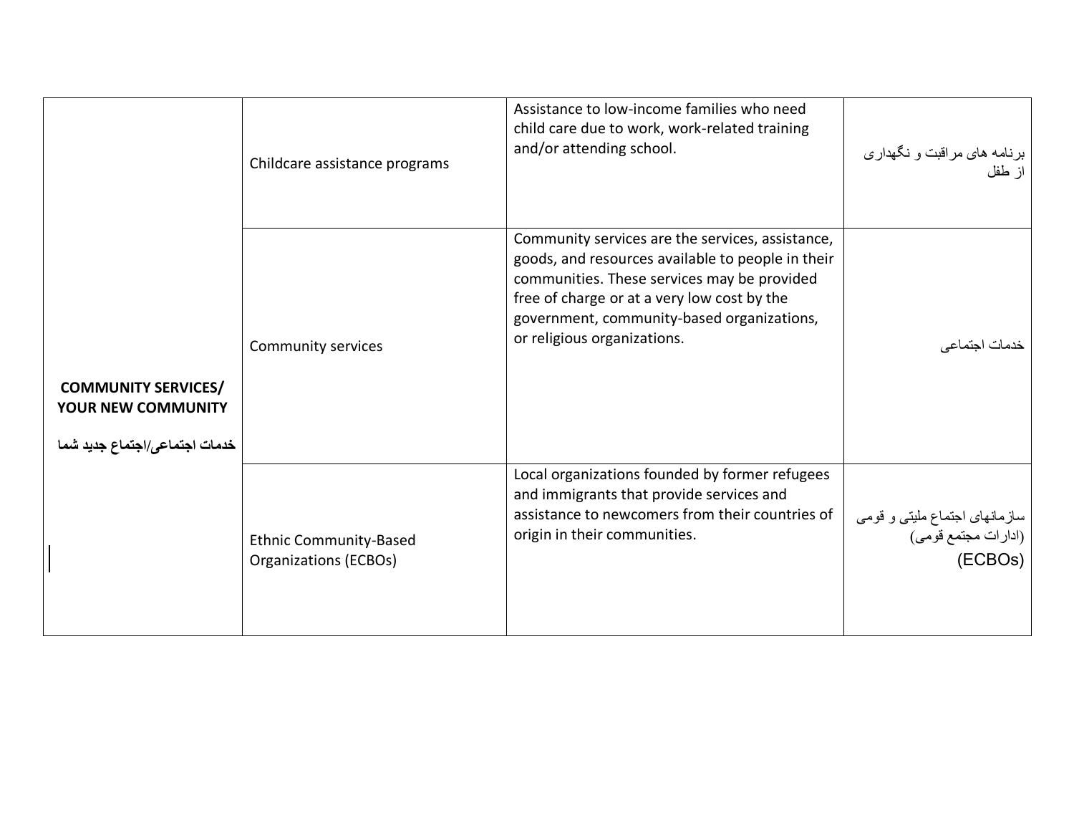<span id="page-15-0"></span>

|                                                                                          | Childcare assistance programs                          | Assistance to low-income families who need<br>child care due to work, work-related training<br>and/or attending school.                                                                                                                                                          | برنامه های مراقبت و نگهداری<br>از طفل                           |
|------------------------------------------------------------------------------------------|--------------------------------------------------------|----------------------------------------------------------------------------------------------------------------------------------------------------------------------------------------------------------------------------------------------------------------------------------|-----------------------------------------------------------------|
| <b>COMMUNITY SERVICES/</b><br><b>YOUR NEW COMMUNITY</b><br>خدمات اجتماعي/اجتماع جديد شما | Community services                                     | Community services are the services, assistance,<br>goods, and resources available to people in their<br>communities. These services may be provided<br>free of charge or at a very low cost by the<br>government, community-based organizations,<br>or religious organizations. | ندمات اجت <i>م</i> اعي                                          |
|                                                                                          | <b>Ethnic Community-Based</b><br>Organizations (ECBOs) | Local organizations founded by former refugees<br>and immigrants that provide services and<br>assistance to newcomers from their countries of<br>origin in their communities.                                                                                                    | سازمانهای اجتماع ملیتی و قومی<br>(ادارات مجتمع قومی)<br>(ECBOs) |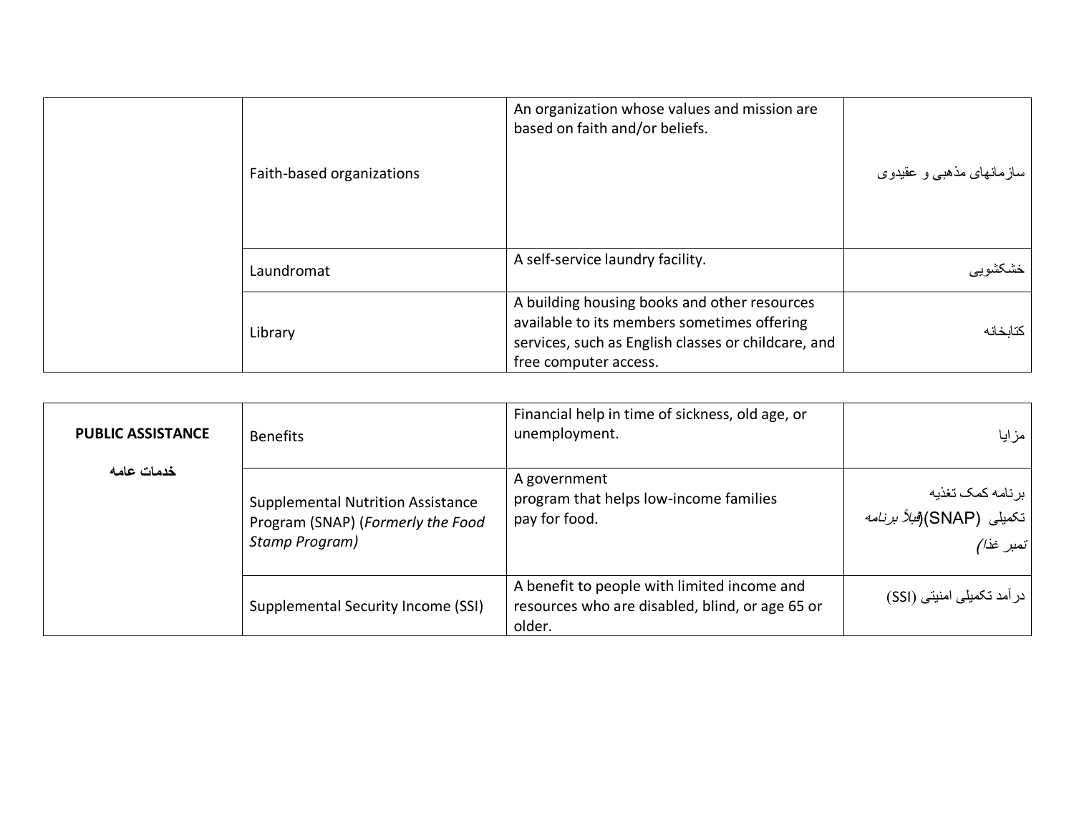|  | Faith-based organizations | An organization whose values and mission are<br>based on faith and/or beliefs.                                                                                              | سازمانهای مذهبی و عقیدوی |
|--|---------------------------|-----------------------------------------------------------------------------------------------------------------------------------------------------------------------------|--------------------------|
|  | Laundromat                | A self-service laundry facility.                                                                                                                                            | خشكشويبي                 |
|  | Library                   | A building housing books and other resources<br>available to its members sometimes offering<br>services, such as English classes or childcare, and<br>free computer access. | كتائخانه                 |

<span id="page-16-0"></span>

| <b>PUBLIC ASSISTANCE</b> | <b>Benefits</b>                                                                                 | Financial help in time of sickness, old age, or<br>unemployment.                                         | مزايا                                                               |
|--------------------------|-------------------------------------------------------------------------------------------------|----------------------------------------------------------------------------------------------------------|---------------------------------------------------------------------|
| خدمات عامه               | <b>Supplemental Nutrition Assistance</b><br>Program (SNAP) (Formerly the Food<br>Stamp Program) | A government<br>program that helps low-income families<br>pay for food.                                  | برنامه كمك تغذيه<br>تكميلى  (SNAP)( <i>فبلأ برنامه</i><br>تمبر غذا) |
|                          | Supplemental Security Income (SSI)                                                              | A benefit to people with limited income and<br>resources who are disabled, blind, or age 65 or<br>older. | در آمد تکمیلی امنیتی (SSI)                                          |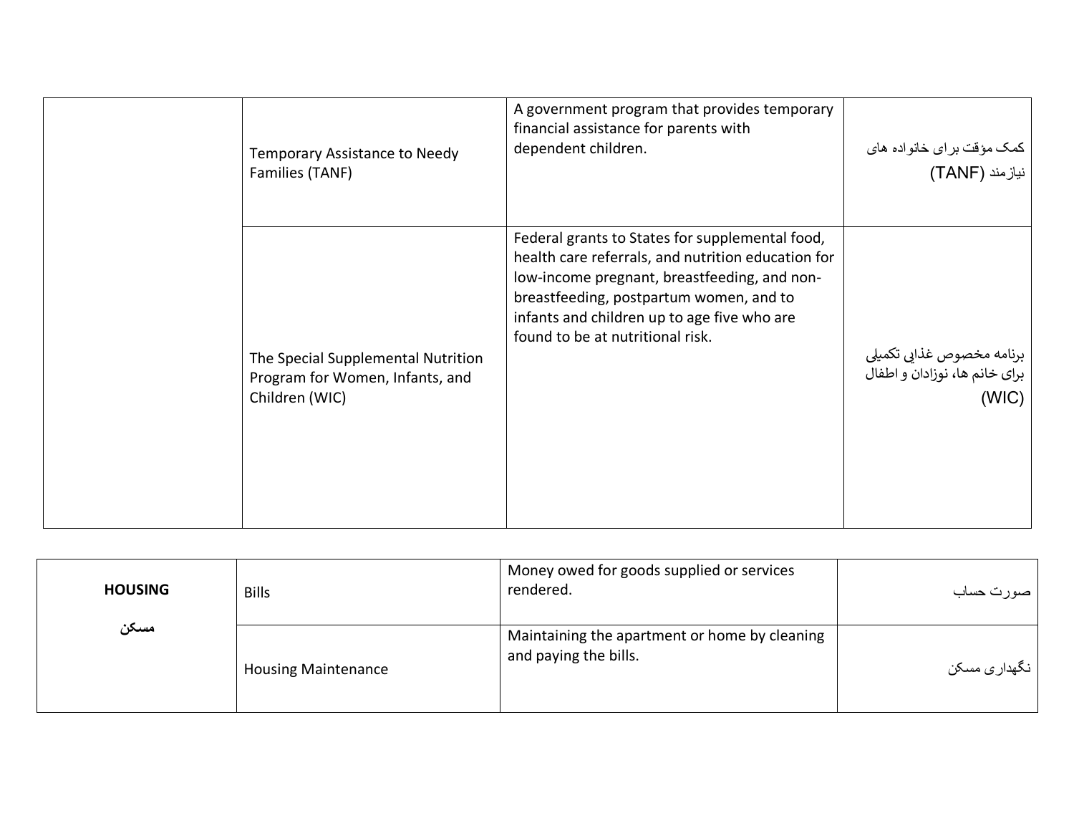| Temporary Assistance to Needy<br>Families (TANF)                                        | A government program that provides temporary<br>financial assistance for parents with<br>dependent children.                                                                                                                                                                        | کمک مؤقت بر ای خانواده های<br>نیازمند (TANF)                        |
|-----------------------------------------------------------------------------------------|-------------------------------------------------------------------------------------------------------------------------------------------------------------------------------------------------------------------------------------------------------------------------------------|---------------------------------------------------------------------|
| The Special Supplemental Nutrition<br>Program for Women, Infants, and<br>Children (WIC) | Federal grants to States for supplemental food,<br>health care referrals, and nutrition education for<br>low-income pregnant, breastfeeding, and non-<br>breastfeeding, postpartum women, and to<br>infants and children up to age five who are<br>found to be at nutritional risk. | برنامه مخصوص غذایی تکمیلی<br>برای خانم ها، نوزادان و اطفال<br>(WIC) |

<span id="page-17-0"></span>

| <b>HOUSING</b> | <b>Bills</b>               | Money owed for goods supplied or services<br>rendered.                 | صورت حساب     |
|----------------|----------------------------|------------------------------------------------------------------------|---------------|
| مسكن           | <b>Housing Maintenance</b> | Maintaining the apartment or home by cleaning<br>and paying the bills. | نگهدار ی مسکن |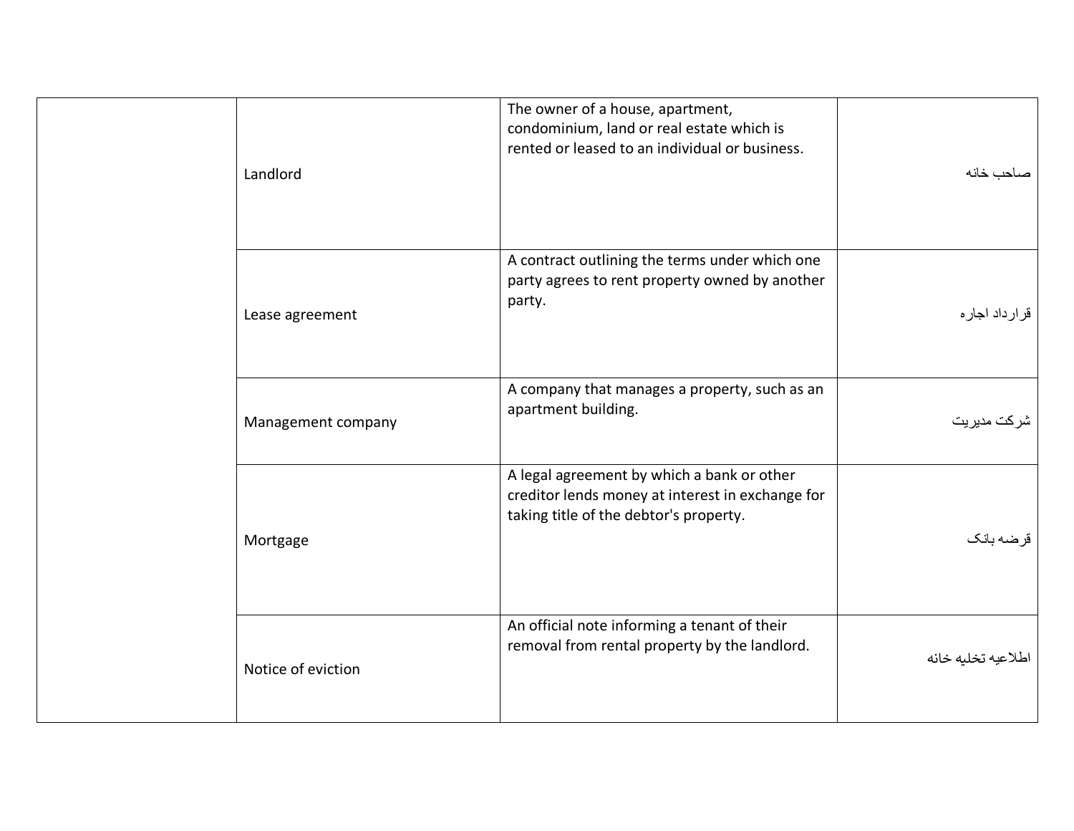| Landlord           | The owner of a house, apartment,<br>condominium, land or real estate which is<br>rented or leased to an individual or business.          | صاحب خانه          |
|--------------------|------------------------------------------------------------------------------------------------------------------------------------------|--------------------|
| Lease agreement    | A contract outlining the terms under which one<br>party agrees to rent property owned by another<br>party.                               | قرار داد اجار ه    |
| Management company | A company that manages a property, such as an<br>apartment building.                                                                     | شركت مديريت        |
| Mortgage           | A legal agreement by which a bank or other<br>creditor lends money at interest in exchange for<br>taking title of the debtor's property. | قرضه بانك          |
| Notice of eviction | An official note informing a tenant of their<br>removal from rental property by the landlord.                                            | اطلاعيه تخليه خانه |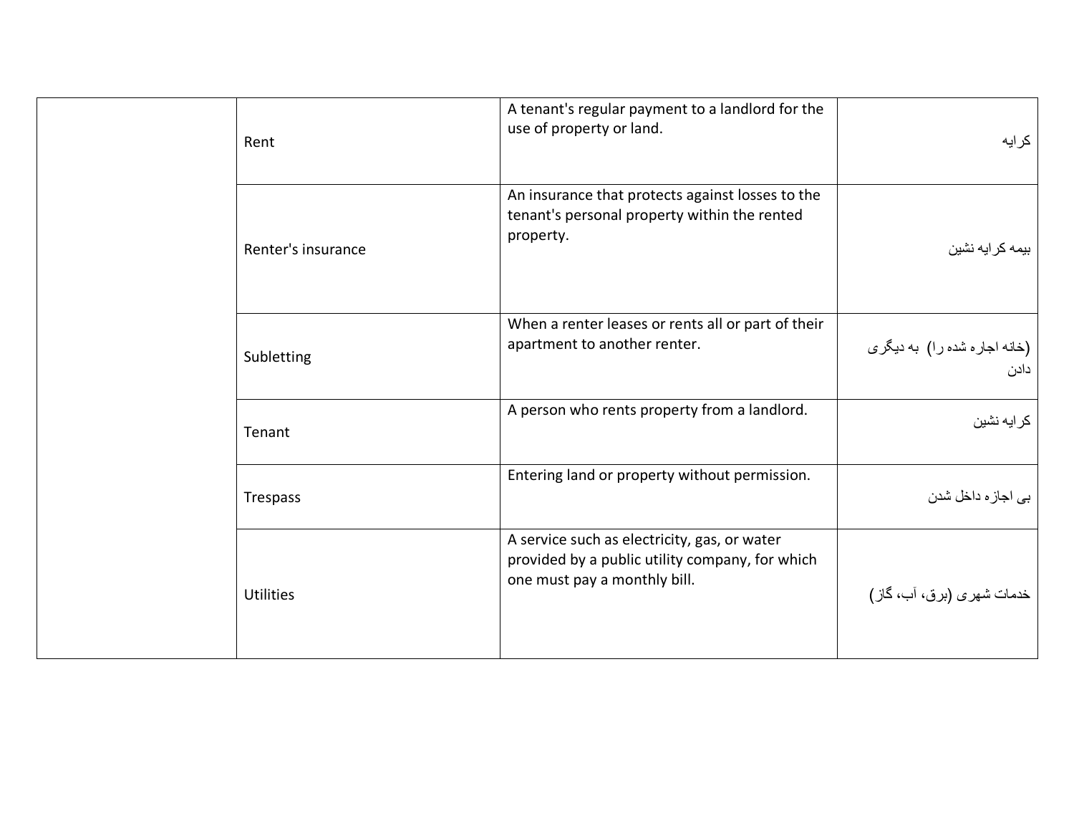|  | Rent               | A tenant's regular payment to a landlord for the<br>use of property or land.                                                    | كرايه                                |
|--|--------------------|---------------------------------------------------------------------------------------------------------------------------------|--------------------------------------|
|  | Renter's insurance | An insurance that protects against losses to the<br>tenant's personal property within the rented<br>property.                   | بیمه کرایه نشین                      |
|  | Subletting         | When a renter leases or rents all or part of their<br>apartment to another renter.                                              | (خانه اجاره شده را) به دیگری<br>دادن |
|  | Tenant             | A person who rents property from a landlord.                                                                                    | كر ايه نشين                          |
|  | Trespass           | Entering land or property without permission.                                                                                   | بي اجاز ه داخل شدن                   |
|  | <b>Utilities</b>   | A service such as electricity, gas, or water<br>provided by a public utility company, for which<br>one must pay a monthly bill. | خدمات شهري (برق، آب، گاز)            |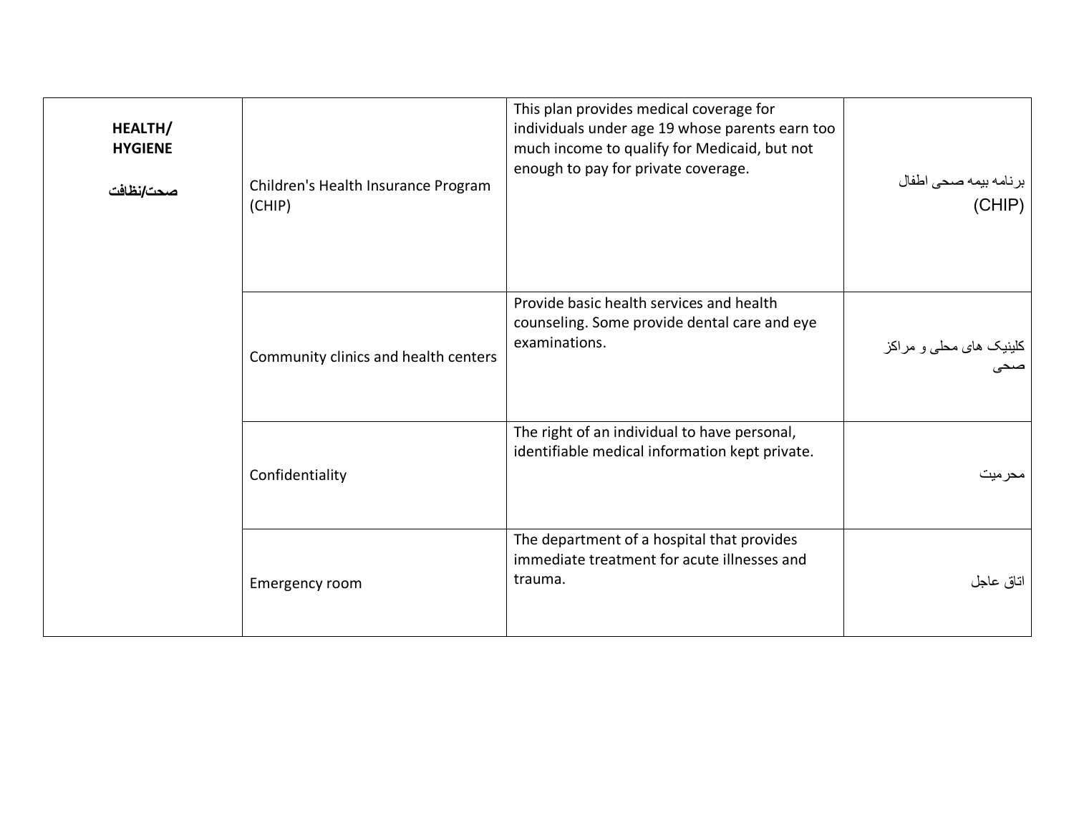<span id="page-20-0"></span>

| HEALTH/<br><b>HYGIENE</b><br>صحت/نظافت | Children's Health Insurance Program<br>(CHIP) | This plan provides medical coverage for<br>individuals under age 19 whose parents earn too<br>much income to qualify for Medicaid, but not<br>enough to pay for private coverage. | برنامه بیمه صحی اطفال<br>(CHIP)         |
|----------------------------------------|-----------------------------------------------|-----------------------------------------------------------------------------------------------------------------------------------------------------------------------------------|-----------------------------------------|
|                                        | Community clinics and health centers          | Provide basic health services and health<br>counseling. Some provide dental care and eye<br>examinations.                                                                         | کلینیک <i>های م</i> حل <i>ی و</i> مراکز |
|                                        | Confidentiality                               | The right of an individual to have personal,<br>identifiable medical information kept private.                                                                                    | محرميت                                  |
|                                        | Emergency room                                | The department of a hospital that provides<br>immediate treatment for acute illnesses and<br>trauma.                                                                              | اتاق عاجل                               |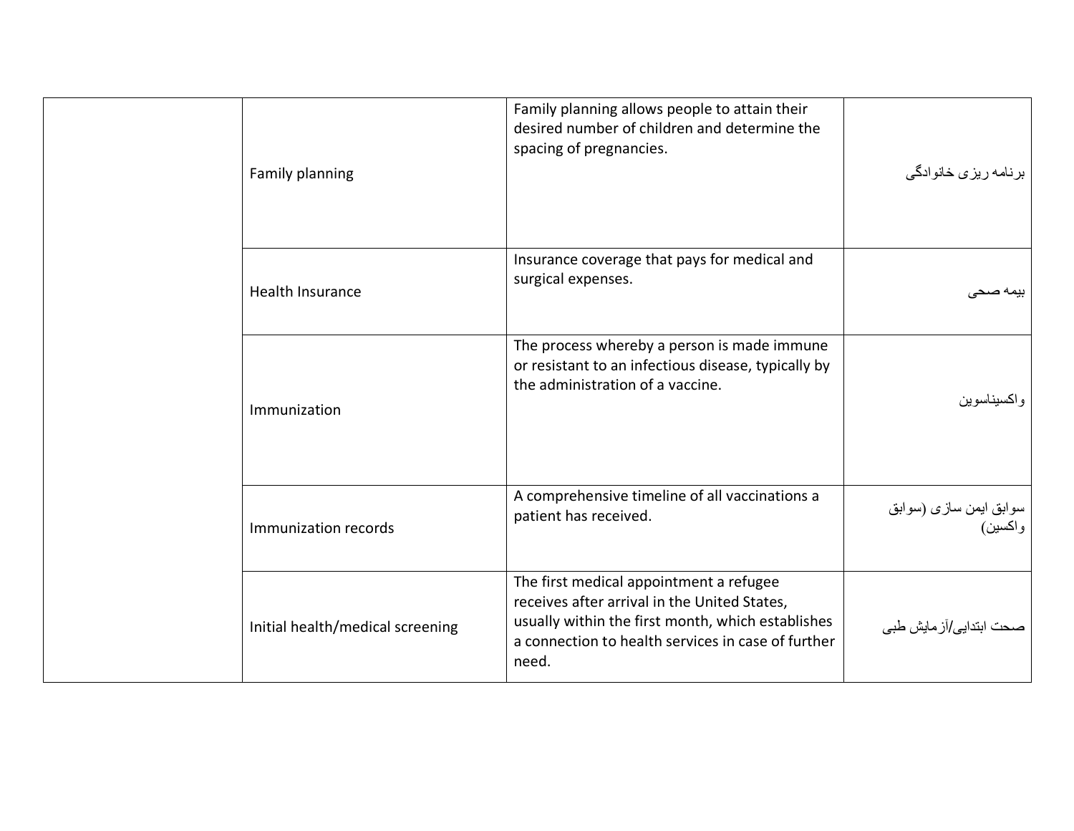| Family planning                  | Family planning allows people to attain their<br>desired number of children and determine the<br>spacing of pregnancies.                                                                                    | برنامه ريزي خانوادگي              |
|----------------------------------|-------------------------------------------------------------------------------------------------------------------------------------------------------------------------------------------------------------|-----------------------------------|
| Health Insurance                 | Insurance coverage that pays for medical and<br>surgical expenses.                                                                                                                                          | بمه صبحے                          |
| Immunization                     | The process whereby a person is made immune<br>or resistant to an infectious disease, typically by<br>the administration of a vaccine.                                                                      | واكسيناسوين                       |
| Immunization records             | A comprehensive timeline of all vaccinations a<br>patient has received.                                                                                                                                     | سوابق ایمن سازی (سوابق<br>واکسین) |
| Initial health/medical screening | The first medical appointment a refugee<br>receives after arrival in the United States,<br>usually within the first month, which establishes<br>a connection to health services in case of further<br>need. | صحت ابتدايي/آز مايش طبي           |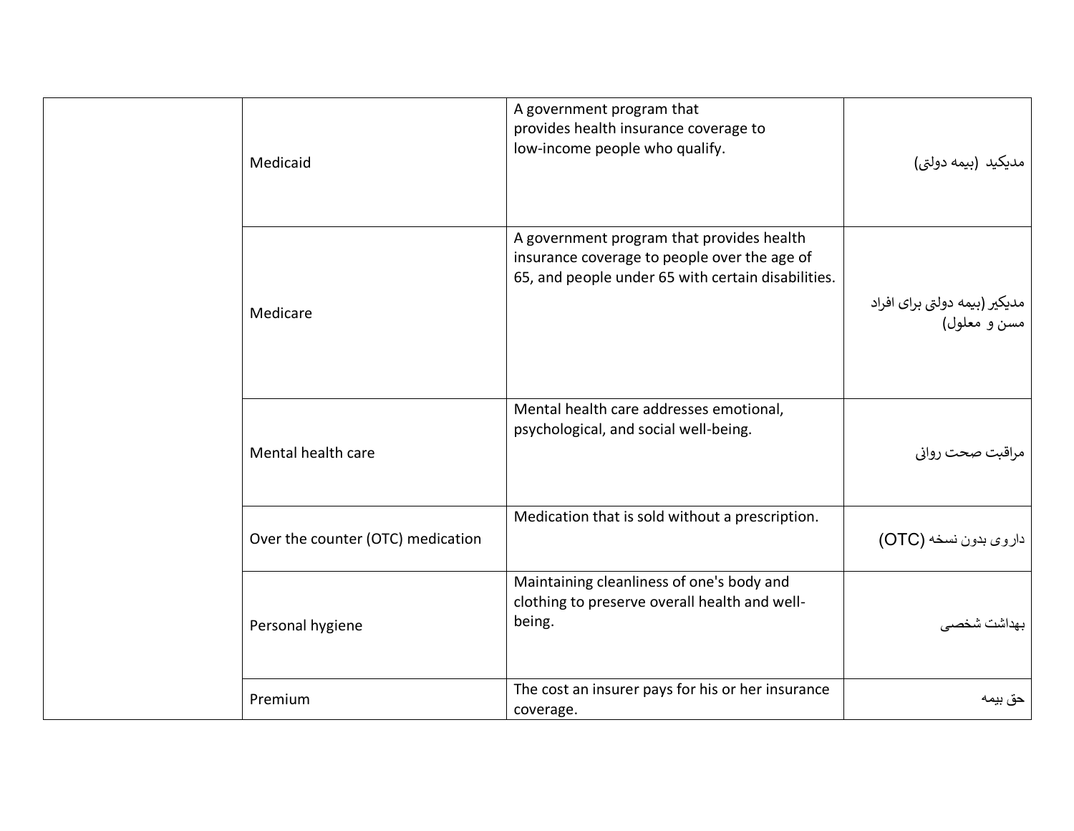| Medicaid                          | A government program that<br>provides health insurance coverage to<br>low-income people who qualify.                                            | مدیکید (بیمه دولتی)                           |
|-----------------------------------|-------------------------------------------------------------------------------------------------------------------------------------------------|-----------------------------------------------|
| Medicare                          | A government program that provides health<br>insurance coverage to people over the age of<br>65, and people under 65 with certain disabilities. | مدیکیر (بیمه دولتی برای افراد<br>مسن و معلول) |
| Mental health care                | Mental health care addresses emotional,<br>psychological, and social well-being.                                                                | مراقبت صحت رواني                              |
| Over the counter (OTC) medication | Medication that is sold without a prescription.                                                                                                 | داروي بدون نسخه (OTC)                         |
| Personal hygiene                  | Maintaining cleanliness of one's body and<br>clothing to preserve overall health and well-<br>being.                                            | بهداشت شخصبي                                  |
| Premium                           | The cost an insurer pays for his or her insurance<br>coverage.                                                                                  | حق بيمه                                       |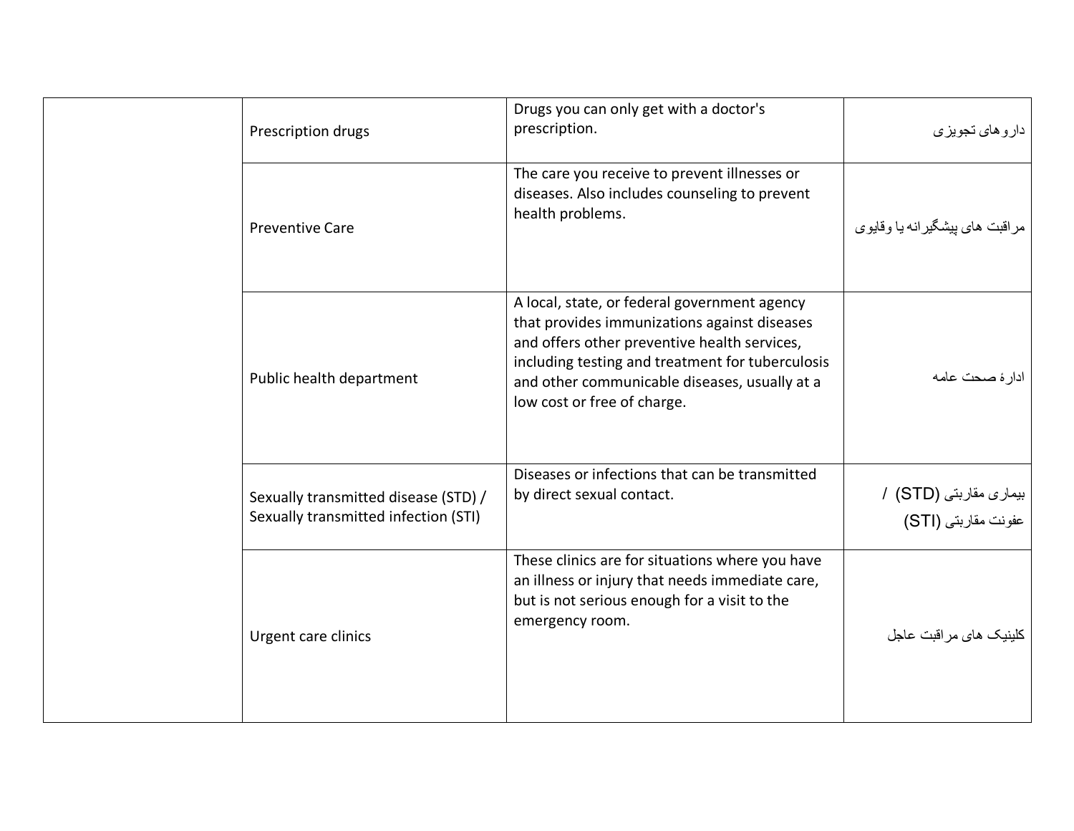| Prescription drugs                                                           | Drugs you can only get with a doctor's<br>prescription.                                                                                                                                                                                                                          | دار و های تجویز ی                             |
|------------------------------------------------------------------------------|----------------------------------------------------------------------------------------------------------------------------------------------------------------------------------------------------------------------------------------------------------------------------------|-----------------------------------------------|
| <b>Preventive Care</b>                                                       | The care you receive to prevent illnesses or<br>diseases. Also includes counseling to prevent<br>health problems.                                                                                                                                                                | مر اقبت های بیشگیر انه یا وقایوی              |
| Public health department                                                     | A local, state, or federal government agency<br>that provides immunizations against diseases<br>and offers other preventive health services,<br>including testing and treatment for tuberculosis<br>and other communicable diseases, usually at a<br>low cost or free of charge. | ادارة صحت عامه                                |
| Sexually transmitted disease (STD) /<br>Sexually transmitted infection (STI) | Diseases or infections that can be transmitted<br>by direct sexual contact.                                                                                                                                                                                                      | بیماری مقاربتی (STD) /<br>عفونت مقاربتی (STI) |
| Urgent care clinics                                                          | These clinics are for situations where you have<br>an illness or injury that needs immediate care,<br>but is not serious enough for a visit to the<br>emergency room.                                                                                                            | كلينيك هاى مراقبت عاجل                        |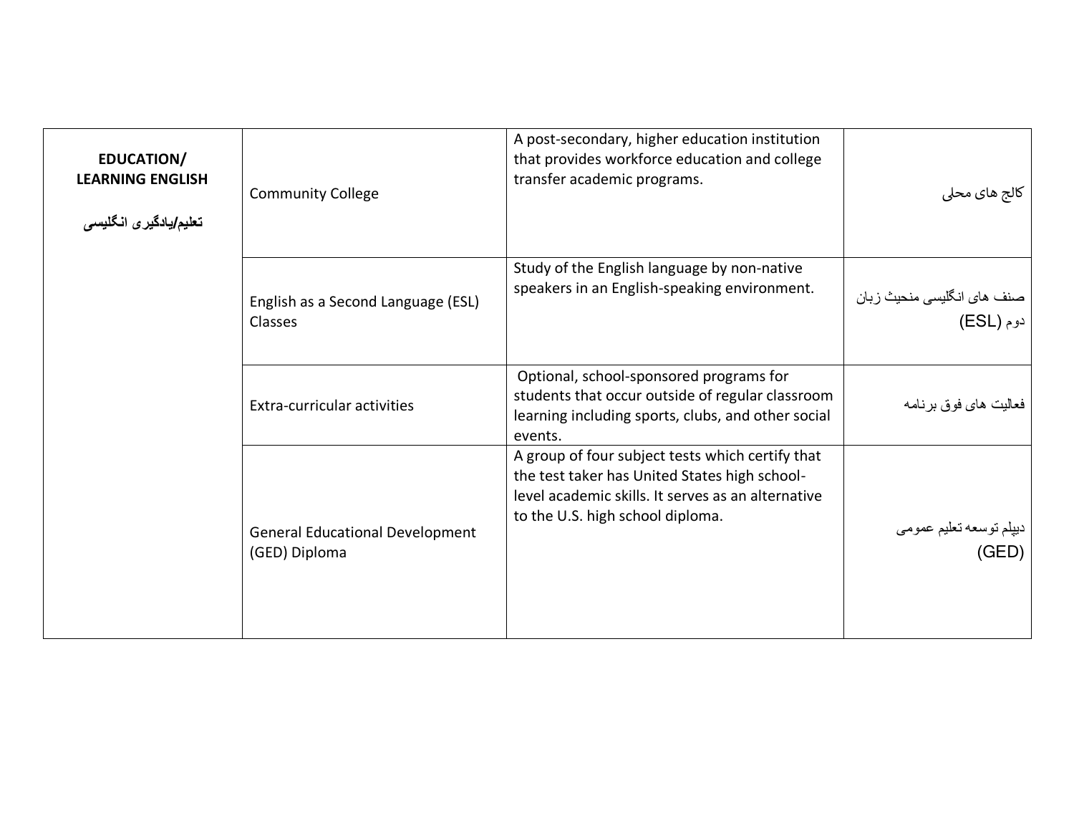<span id="page-24-0"></span>

| <b>EDUCATION/</b><br><b>LEARNING ENGLISH</b><br>تعليم/يادگيري انگليسي | <b>Community College</b>                                | A post-secondary, higher education institution<br>that provides workforce education and college<br>transfer academic programs.                                                              | کالج های محلی                           |
|-----------------------------------------------------------------------|---------------------------------------------------------|---------------------------------------------------------------------------------------------------------------------------------------------------------------------------------------------|-----------------------------------------|
|                                                                       | English as a Second Language (ESL)<br><b>Classes</b>    | Study of the English language by non-native<br>speakers in an English-speaking environment.                                                                                                 | صنف های انگلیسی منحیث زبان<br>دوم (ESL) |
|                                                                       | Extra-curricular activities                             | Optional, school-sponsored programs for<br>students that occur outside of regular classroom<br>learning including sports, clubs, and other social<br>events.                                | فعاليت هاي فوق برنامه                   |
|                                                                       | <b>General Educational Development</b><br>(GED) Diploma | A group of four subject tests which certify that<br>the test taker has United States high school-<br>level academic skills. It serves as an alternative<br>to the U.S. high school diploma. | ديپلم توسعه تعليم عمومى<br>(GED)        |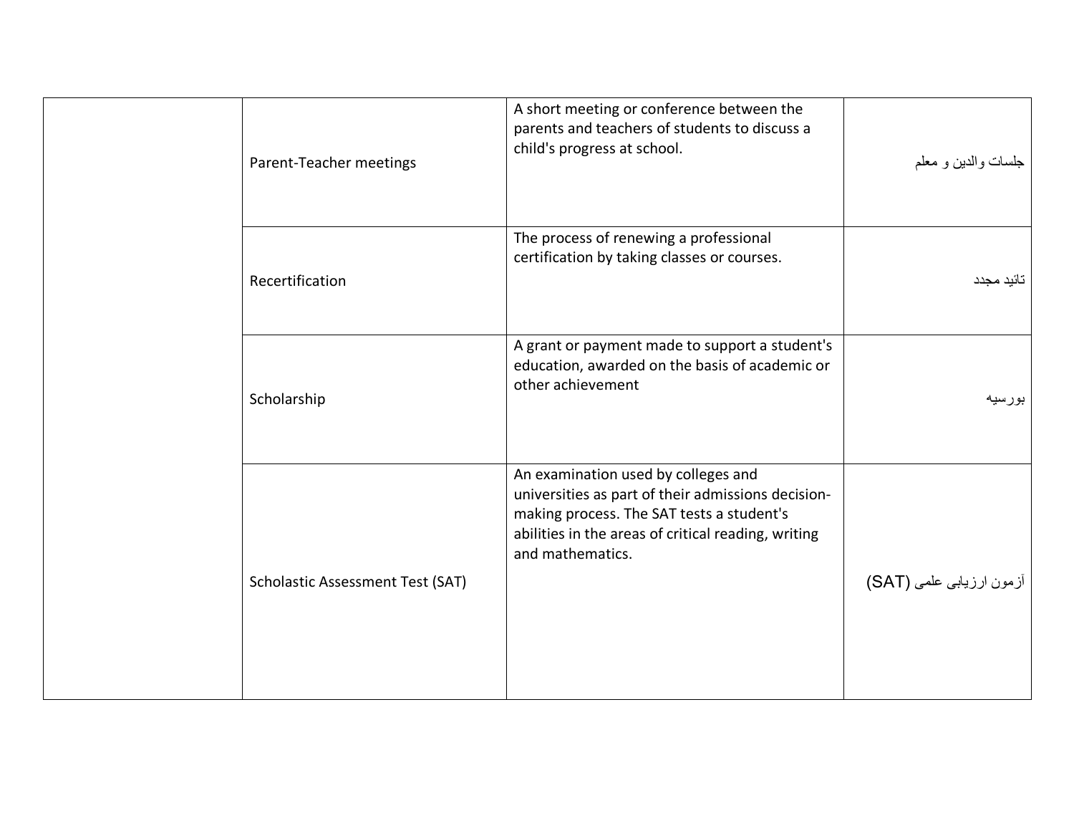| Parent-Teacher meetings                 | A short meeting or conference between the<br>parents and teachers of students to discuss a<br>child's progress at school.                                                                                         | جلسات والدبين و معلم     |
|-----------------------------------------|-------------------------------------------------------------------------------------------------------------------------------------------------------------------------------------------------------------------|--------------------------|
| Recertification                         | The process of renewing a professional<br>certification by taking classes or courses.                                                                                                                             | تائيد مجدد               |
| Scholarship                             | A grant or payment made to support a student's<br>education, awarded on the basis of academic or<br>other achievement                                                                                             | بورسيه                   |
| <b>Scholastic Assessment Test (SAT)</b> | An examination used by colleges and<br>universities as part of their admissions decision-<br>making process. The SAT tests a student's<br>abilities in the areas of critical reading, writing<br>and mathematics. | أزمون ارزيابي علمي (SAT) |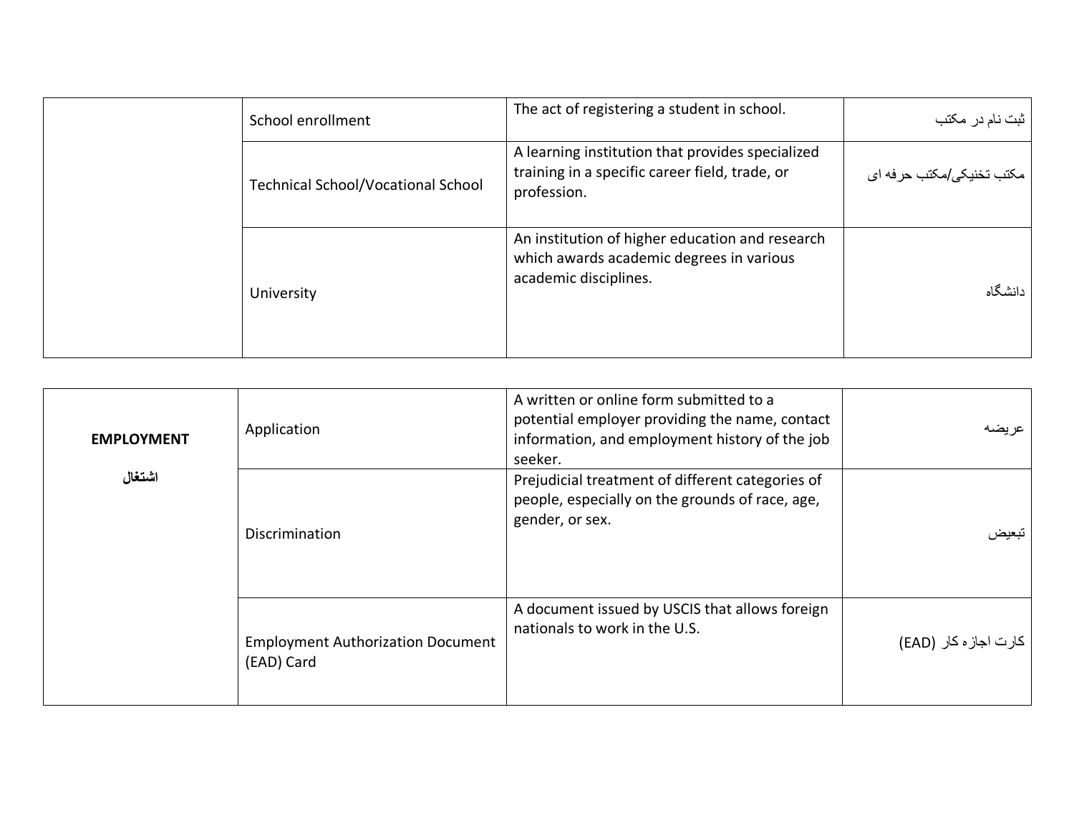| School enrollment                         | The act of registering a student in school.                                                                          | ثبت نام در مکتب                     |
|-------------------------------------------|----------------------------------------------------------------------------------------------------------------------|-------------------------------------|
| <b>Technical School/Vocational School</b> | A learning institution that provides specialized<br>training in a specific career field, trade, or<br>profession.    | مكتب تخنيك <i>ي إم</i> كتب حر فه اي |
| University                                | An institution of higher education and research<br>which awards academic degrees in various<br>academic disciplines. | دانشگاه                             |

<span id="page-26-0"></span>

| <b>EMPLOYMENT</b> | Application                                            | A written or online form submitted to a<br>potential employer providing the name, contact<br>information, and employment history of the job<br>seeker. | عر بضبه               |
|-------------------|--------------------------------------------------------|--------------------------------------------------------------------------------------------------------------------------------------------------------|-----------------------|
| اشتغال            | Discrimination                                         | Prejudicial treatment of different categories of<br>people, especially on the grounds of race, age,<br>gender, or sex.                                 | تبعبض                 |
|                   | <b>Employment Authorization Document</b><br>(EAD) Card | A document issued by USCIS that allows foreign<br>nationals to work in the U.S.                                                                        | كارت اجاز ه كار (EAD) |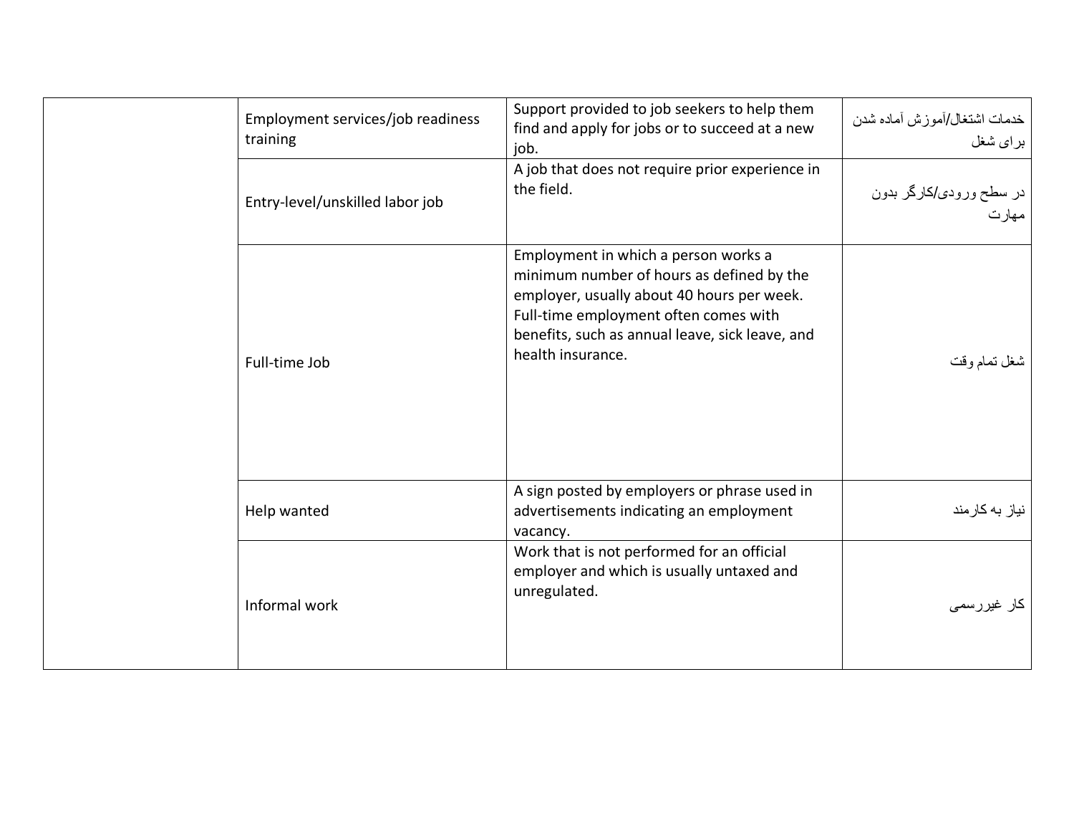| Employment services/job readiness<br>training | Support provided to job seekers to help them<br>find and apply for jobs or to succeed at a new<br>job.                                                                                                                                           | خدمات اشتغال/أموزش أماده شدن<br>براي شغل |
|-----------------------------------------------|--------------------------------------------------------------------------------------------------------------------------------------------------------------------------------------------------------------------------------------------------|------------------------------------------|
| Entry-level/unskilled labor job               | A job that does not require prior experience in<br>the field.                                                                                                                                                                                    | در سطح ورودی/کارگر بدون<br>مهارت         |
| Full-time Job                                 | Employment in which a person works a<br>minimum number of hours as defined by the<br>employer, usually about 40 hours per week.<br>Full-time employment often comes with<br>benefits, such as annual leave, sick leave, and<br>health insurance. | شغل تمام وقت                             |
| Help wanted                                   | A sign posted by employers or phrase used in<br>advertisements indicating an employment<br>vacancy.                                                                                                                                              | نیاز به کارمند                           |
| Informal work                                 | Work that is not performed for an official<br>employer and which is usually untaxed and<br>unregulated.                                                                                                                                          | کار غیررسمی                              |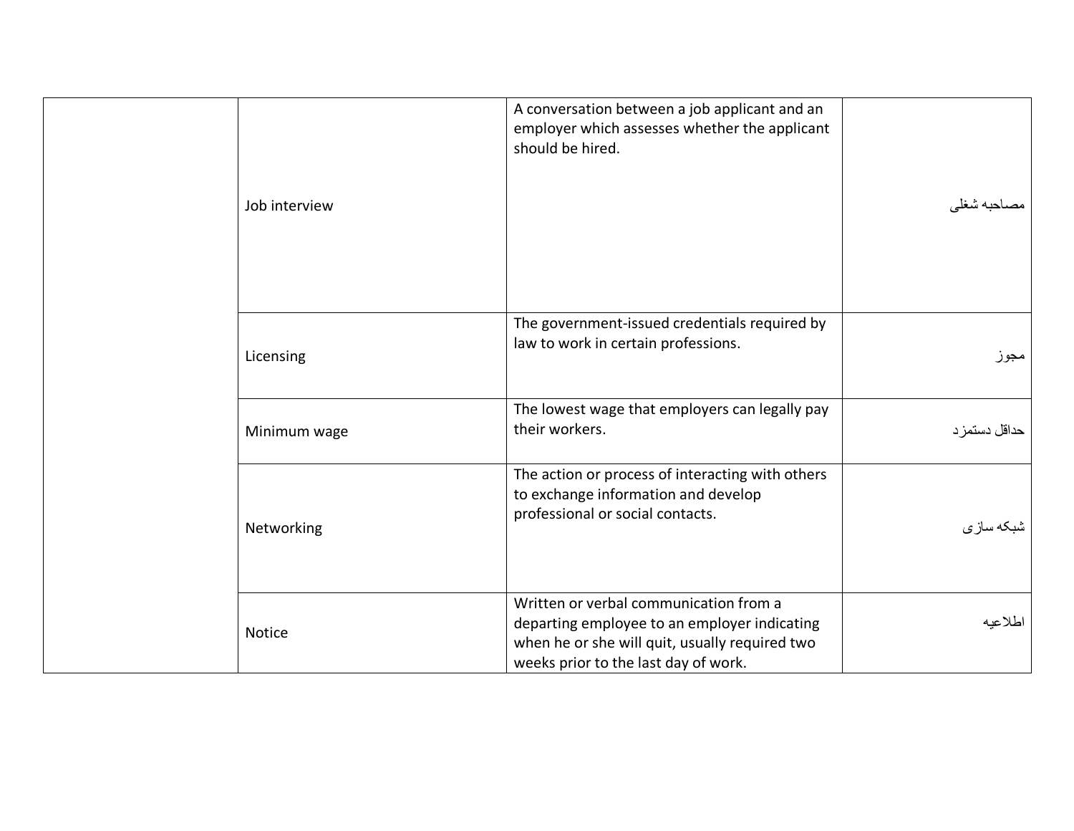| Job interview | A conversation between a job applicant and an<br>employer which assesses whether the applicant<br>should be hired.                                                               | مصاحبه شغلي   |
|---------------|----------------------------------------------------------------------------------------------------------------------------------------------------------------------------------|---------------|
| Licensing     | The government-issued credentials required by<br>law to work in certain professions.                                                                                             | مجوز          |
| Minimum wage  | The lowest wage that employers can legally pay<br>their workers.                                                                                                                 | حداقل دستمز د |
| Networking    | The action or process of interacting with others<br>to exchange information and develop<br>professional or social contacts.                                                      | شبكه سازى     |
| Notice        | Written or verbal communication from a<br>departing employee to an employer indicating<br>when he or she will quit, usually required two<br>weeks prior to the last day of work. | اطلاعيه       |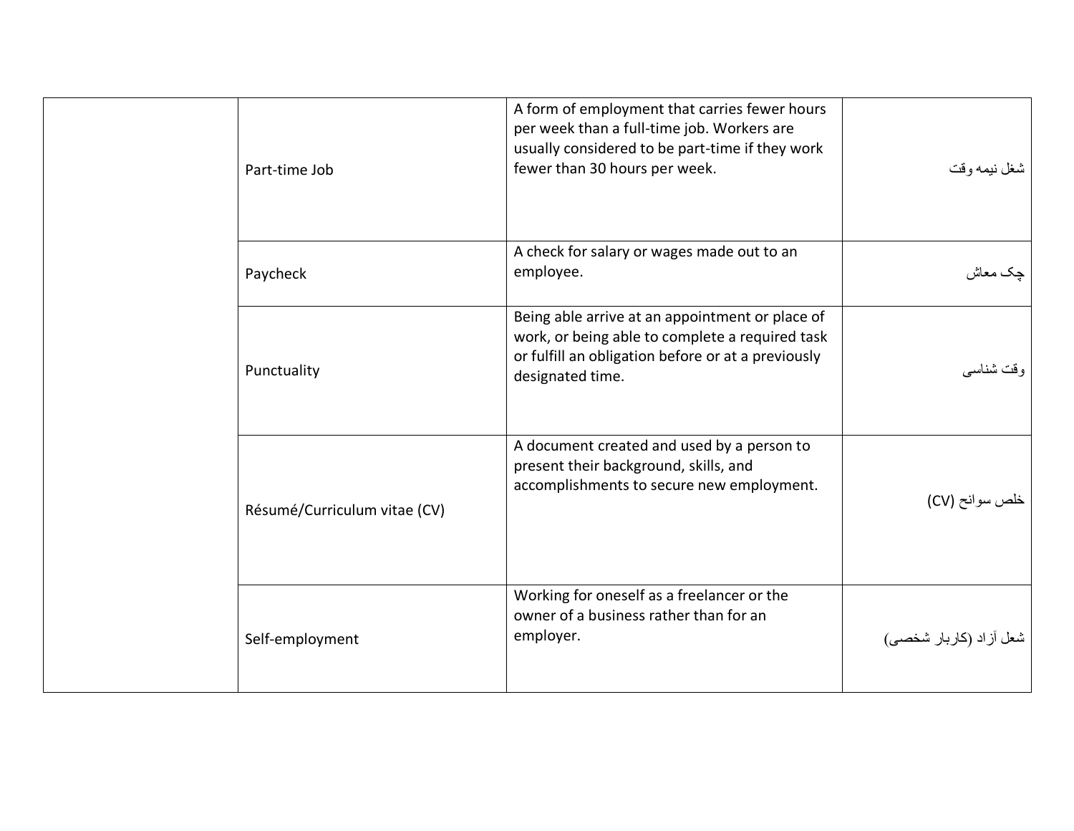| Part-time Job                | A form of employment that carries fewer hours<br>per week than a full-time job. Workers are<br>usually considered to be part-time if they work<br>fewer than 30 hours per week. | شغل نيمه وقت           |
|------------------------------|---------------------------------------------------------------------------------------------------------------------------------------------------------------------------------|------------------------|
| Paycheck                     | A check for salary or wages made out to an<br>employee.                                                                                                                         | چک معاش                |
| Punctuality                  | Being able arrive at an appointment or place of<br>work, or being able to complete a required task<br>or fulfill an obligation before or at a previously<br>designated time.    | و قت شناسبي            |
| Résumé/Curriculum vitae (CV) | A document created and used by a person to<br>present their background, skills, and<br>accomplishments to secure new employment.                                                | خلص سوانح (CV)         |
| Self-employment              | Working for oneself as a freelancer or the<br>owner of a business rather than for an<br>employer.                                                                               | شعل أزاد (كاربار شخصى) |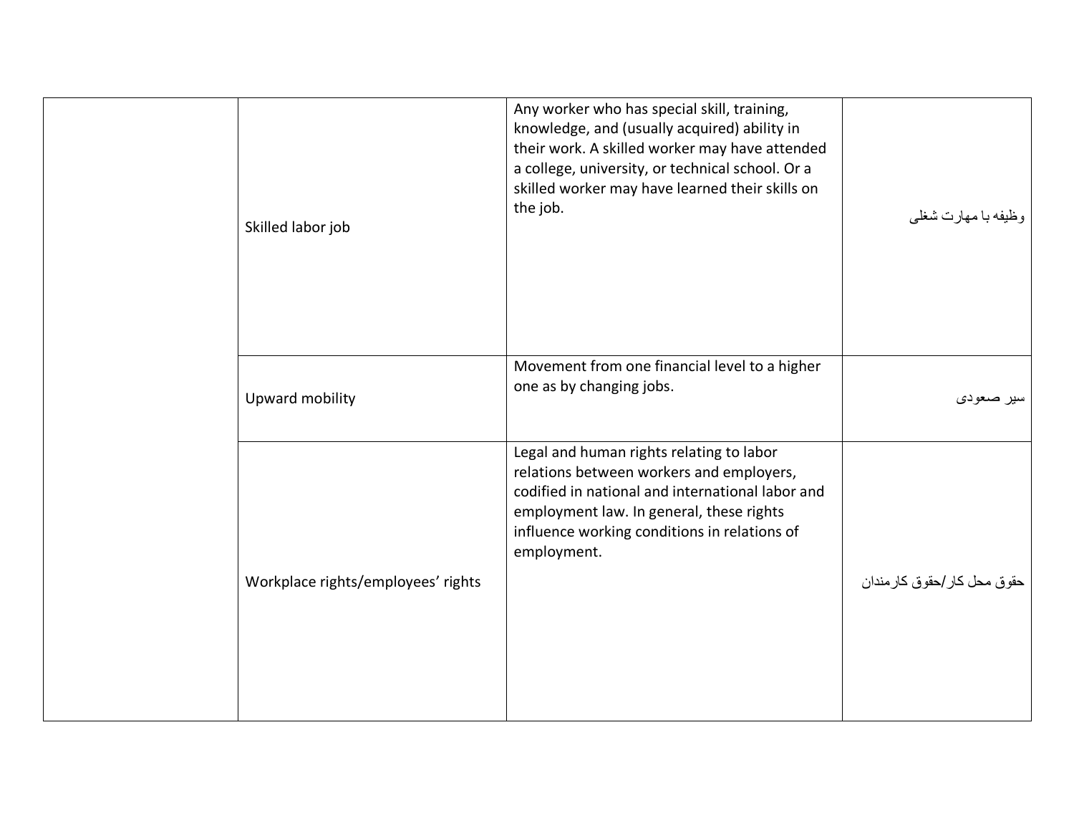| Skilled labor job                  | Any worker who has special skill, training,<br>knowledge, and (usually acquired) ability in<br>their work. A skilled worker may have attended<br>a college, university, or technical school. Or a<br>skilled worker may have learned their skills on<br>the job. | وظيفه با مهارت شغلي         |
|------------------------------------|------------------------------------------------------------------------------------------------------------------------------------------------------------------------------------------------------------------------------------------------------------------|-----------------------------|
| Upward mobility                    | Movement from one financial level to a higher<br>one as by changing jobs.                                                                                                                                                                                        | سير صعودي                   |
| Workplace rights/employees' rights | Legal and human rights relating to labor<br>relations between workers and employers,<br>codified in national and international labor and<br>employment law. In general, these rights<br>influence working conditions in relations of<br>employment.              | حقوق محل كار /حقوق كارمندان |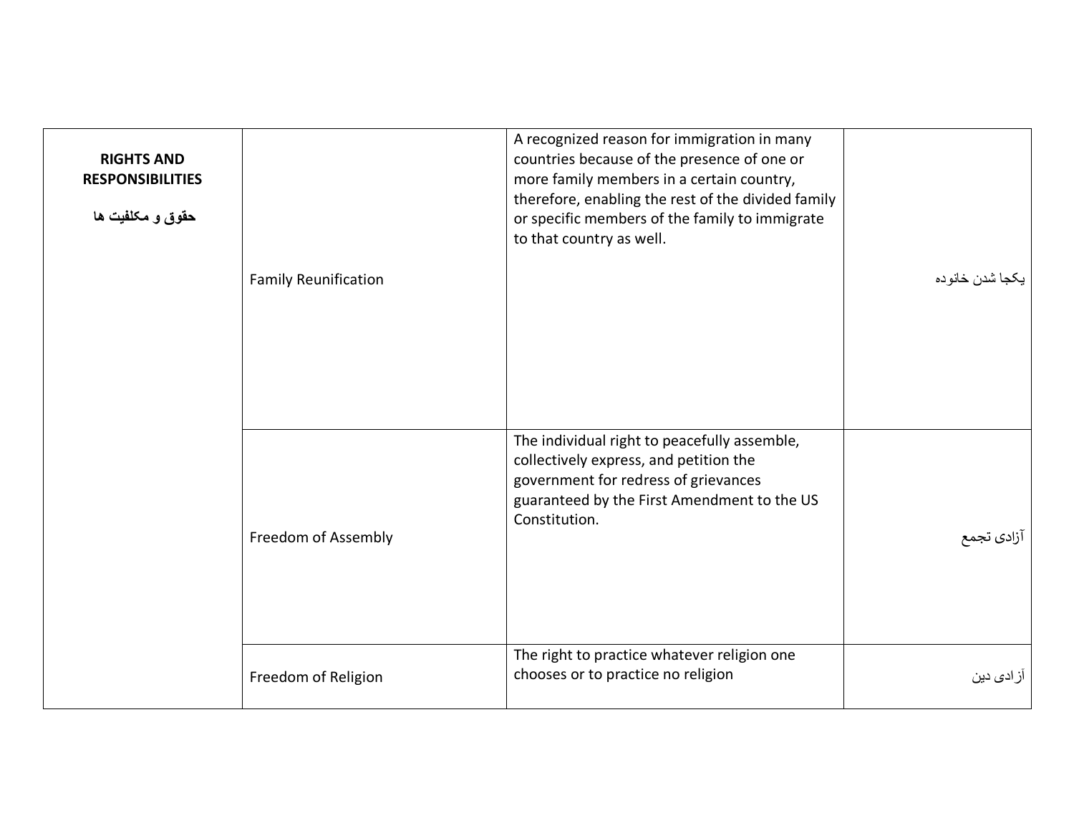<span id="page-31-0"></span>

| <b>RIGHTS AND</b><br><b>RESPONSIBILITIES</b><br>حقوق و مكلفيت ها | <b>Family Reunification</b> | A recognized reason for immigration in many<br>countries because of the presence of one or<br>more family members in a certain country,<br>therefore, enabling the rest of the divided family<br>or specific members of the family to immigrate<br>to that country as well. | يكجا شدن خانوده    |
|------------------------------------------------------------------|-----------------------------|-----------------------------------------------------------------------------------------------------------------------------------------------------------------------------------------------------------------------------------------------------------------------------|--------------------|
|                                                                  | Freedom of Assembly         | The individual right to peacefully assemble,<br>collectively express, and petition the<br>government for redress of grievances<br>guaranteed by the First Amendment to the US<br>Constitution.                                                                              | آزادى تجمع         |
|                                                                  | Freedom of Religion         | The right to practice whatever religion one<br>chooses or to practice no religion                                                                                                                                                                                           | آز اد <i>ی</i> دین |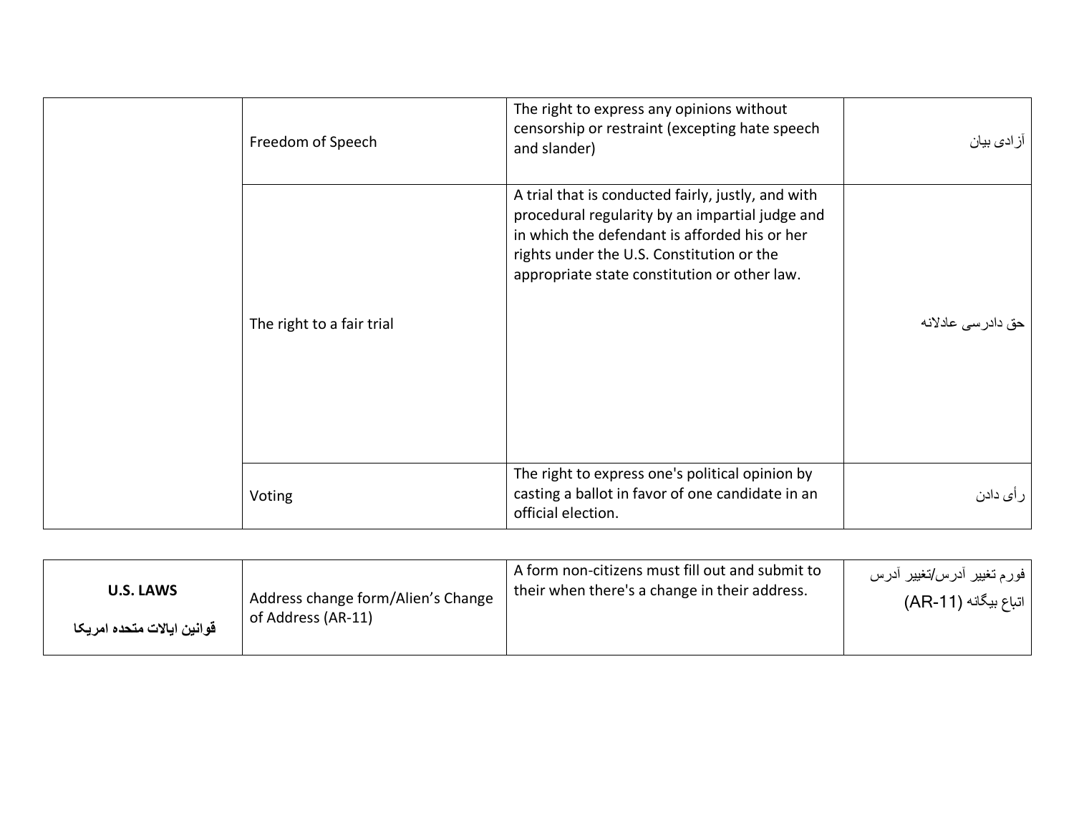| Freedom of Speech         | The right to express any opinions without<br>censorship or restraint (excepting hate speech<br>and slander)                                                                                                                                         | آز ادی بیان        |
|---------------------------|-----------------------------------------------------------------------------------------------------------------------------------------------------------------------------------------------------------------------------------------------------|--------------------|
| The right to a fair trial | A trial that is conducted fairly, justly, and with<br>procedural regularity by an impartial judge and<br>in which the defendant is afforded his or her<br>rights under the U.S. Constitution or the<br>appropriate state constitution or other law. | حق دادر سی عادلانه |
| Voting                    | The right to express one's political opinion by<br>casting a ballot in favor of one candidate in an<br>official election.                                                                                                                           | ر أ <i>ى</i> دادن  |

<span id="page-32-0"></span>

| <b>U.S. LAWS</b>           | Address change form/Alien's Change | A form non-citizens must fill out and submit to | فورم تغيير أدرس/تغيير أدرس |
|----------------------------|------------------------------------|-------------------------------------------------|----------------------------|
| قوانين ايالات متحده امريكا | of Address (AR-11)                 | their when there's a change in their address.   | اتباع بيگانه (AR-11)       |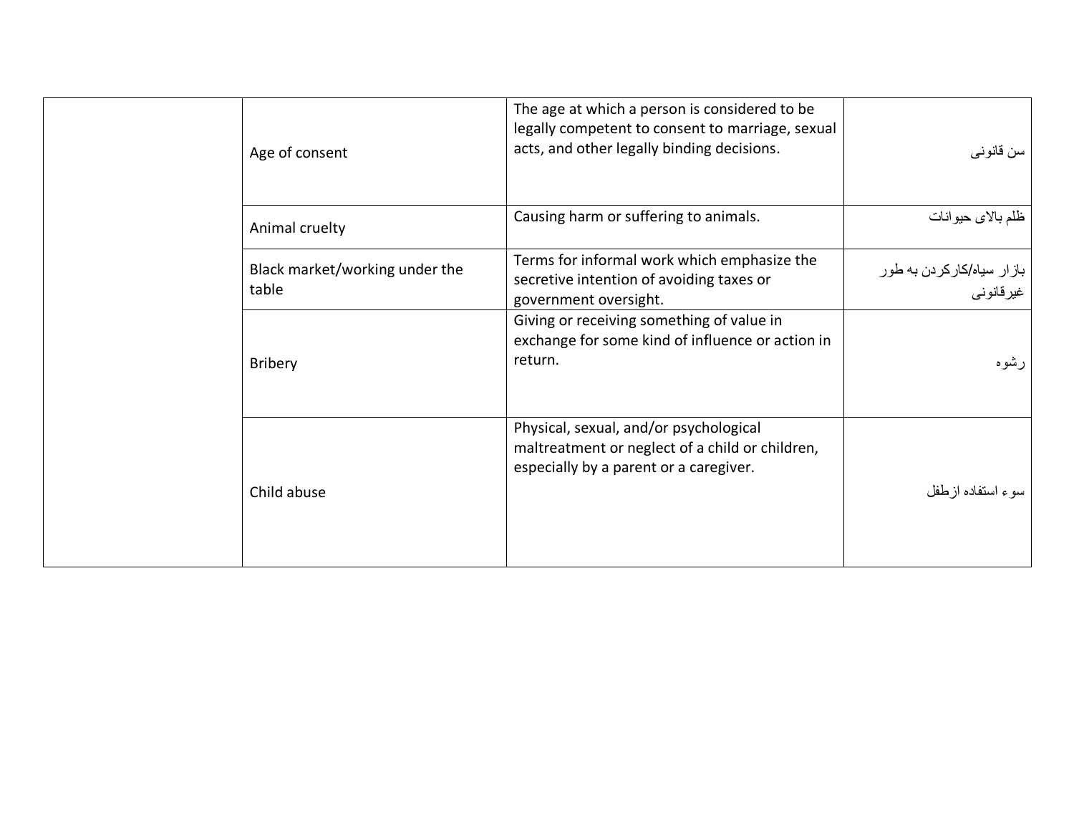| The age at which a person is considered to be<br>legally competent to consent to marriage, sexual<br>acts, and other legally binding decisions. | سن قانوني                                |
|-------------------------------------------------------------------------------------------------------------------------------------------------|------------------------------------------|
| Causing harm or suffering to animals.                                                                                                           | ظلم بالاي حيوانات                        |
| Terms for informal work which emphasize the<br>secretive intention of avoiding taxes or<br>government oversight.                                | باز ار سیاه/کارکردن به طور<br>غير قانوني |
| Giving or receiving something of value in<br>exchange for some kind of influence or action in<br>return.                                        | رشوه                                     |
| Physical, sexual, and/or psychological<br>maltreatment or neglect of a child or children,<br>especially by a parent or a caregiver.             | سوء استفاده ازطفل                        |
|                                                                                                                                                 |                                          |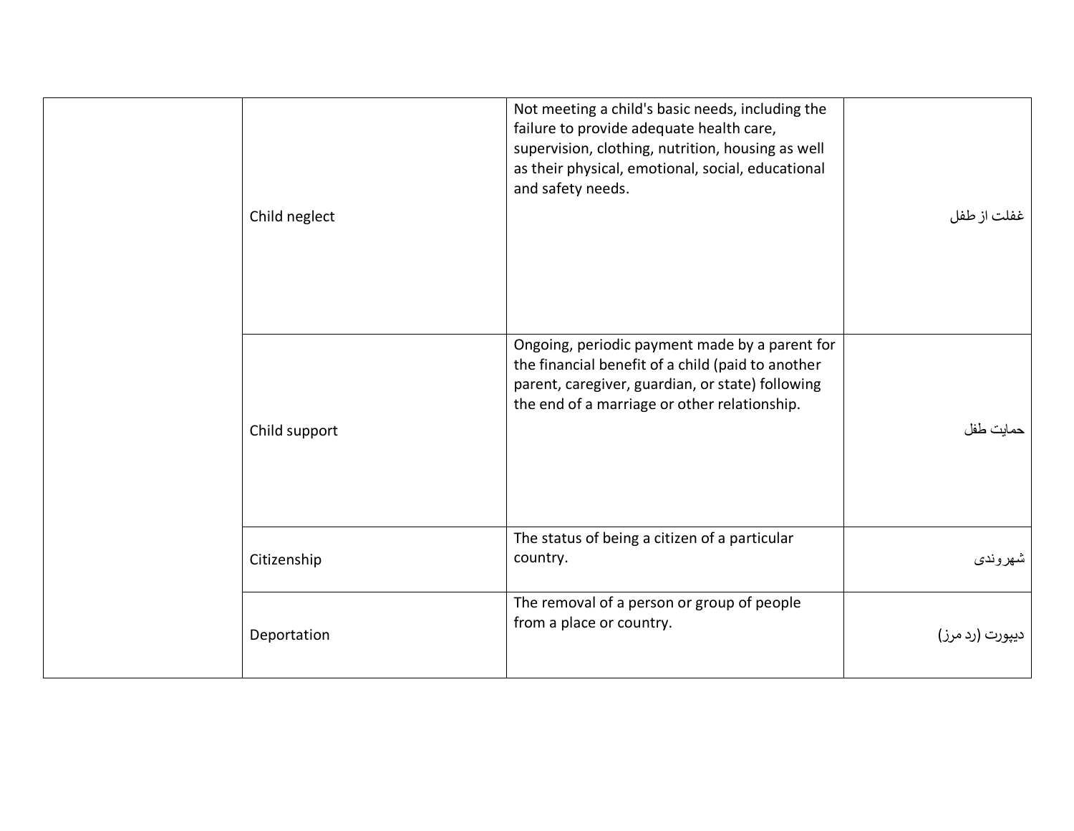| Child neglect | Not meeting a child's basic needs, including the<br>failure to provide adequate health care,<br>supervision, clothing, nutrition, housing as well<br>as their physical, emotional, social, educational<br>and safety needs. | غفلت از طفل     |
|---------------|-----------------------------------------------------------------------------------------------------------------------------------------------------------------------------------------------------------------------------|-----------------|
| Child support | Ongoing, periodic payment made by a parent for<br>the financial benefit of a child (paid to another<br>parent, caregiver, guardian, or state) following<br>the end of a marriage or other relationship.                     | حمايت طفل       |
| Citizenship   | The status of being a citizen of a particular<br>country.                                                                                                                                                                   | شهروندي         |
| Deportation   | The removal of a person or group of people<br>from a place or country.                                                                                                                                                      | ديپورت (رد مرز) |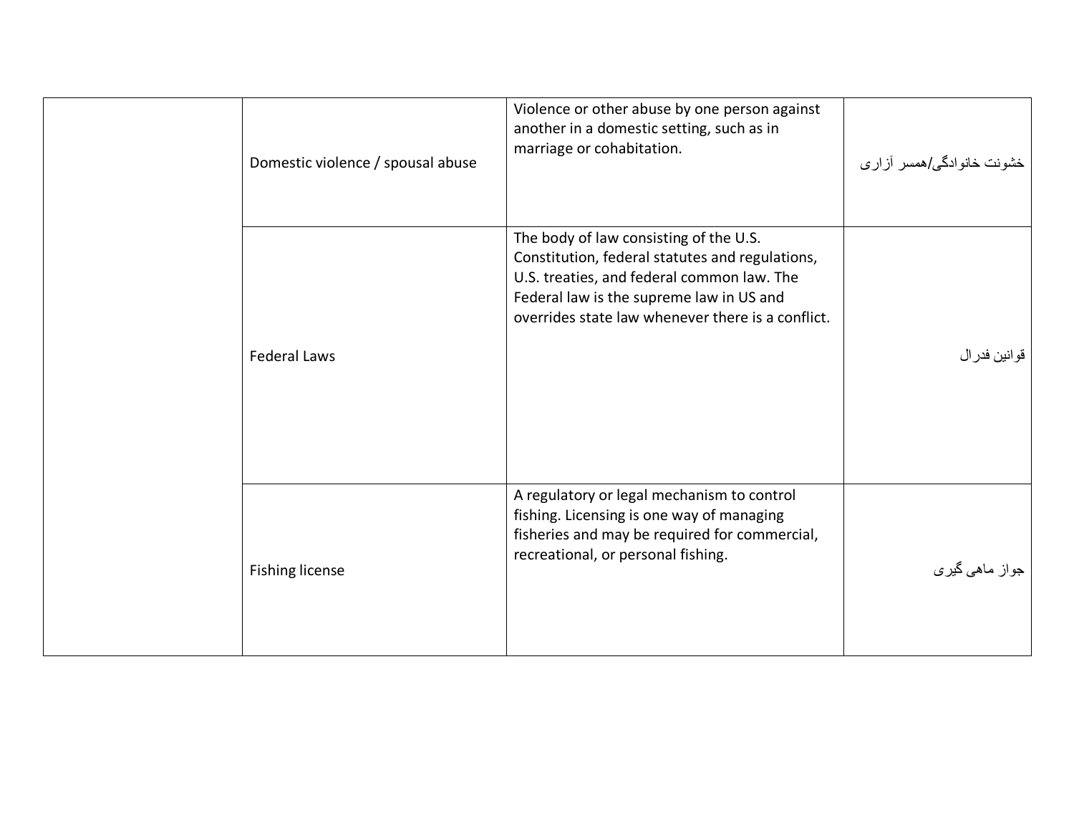| Domestic violence / spousal abuse | Violence or other abuse by one person against<br>another in a domestic setting, such as in<br>marriage or cohabitation.                                                                                                                  | خشونت خانوادگی/همسر آزاری |
|-----------------------------------|------------------------------------------------------------------------------------------------------------------------------------------------------------------------------------------------------------------------------------------|---------------------------|
| <b>Federal Laws</b>               | The body of law consisting of the U.S.<br>Constitution, federal statutes and regulations,<br>U.S. treaties, and federal common law. The<br>Federal law is the supreme law in US and<br>overrides state law whenever there is a conflict. | قوانين فدرال              |
| <b>Fishing license</b>            | A regulatory or legal mechanism to control<br>fishing. Licensing is one way of managing<br>fisheries and may be required for commercial,<br>recreational, or personal fishing.                                                           | جواز ماہی گیری            |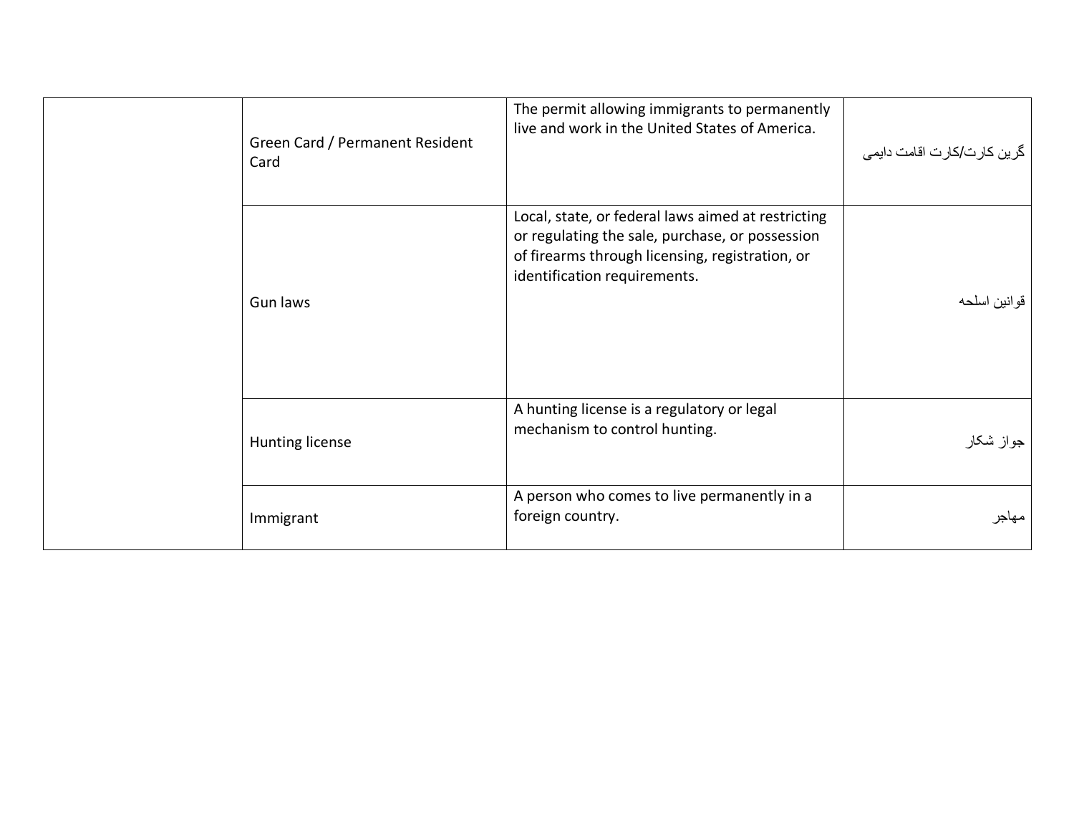| Green Card / Permanent Resident<br>Card | The permit allowing immigrants to permanently<br>live and work in the United States of America.                                                                                          | گرین کارت/کارت اقامت دایمی |
|-----------------------------------------|------------------------------------------------------------------------------------------------------------------------------------------------------------------------------------------|----------------------------|
| Gun laws                                | Local, state, or federal laws aimed at restricting<br>or regulating the sale, purchase, or possession<br>of firearms through licensing, registration, or<br>identification requirements. | قوانين اسلحه               |
| Hunting license                         | A hunting license is a regulatory or legal<br>mechanism to control hunting.                                                                                                              | جواز شکار                  |
| Immigrant                               | A person who comes to live permanently in a<br>foreign country.                                                                                                                          | مهاجر                      |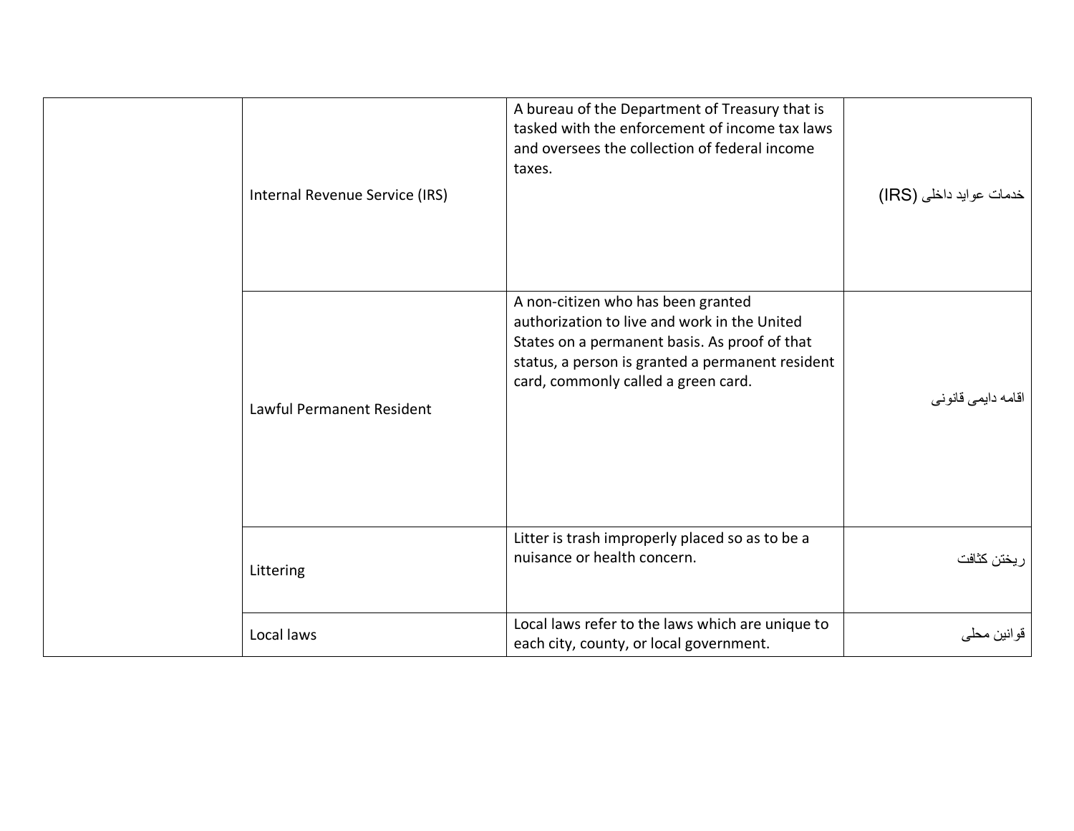| Internal Revenue Service (IRS) | A bureau of the Department of Treasury that is<br>tasked with the enforcement of income tax laws<br>and oversees the collection of federal income<br>taxes.                                                                    | خدمات عوايد داخلي (IRS) |
|--------------------------------|--------------------------------------------------------------------------------------------------------------------------------------------------------------------------------------------------------------------------------|-------------------------|
| Lawful Permanent Resident      | A non-citizen who has been granted<br>authorization to live and work in the United<br>States on a permanent basis. As proof of that<br>status, a person is granted a permanent resident<br>card, commonly called a green card. | اقامه دايمي قانوني      |
| Littering                      | Litter is trash improperly placed so as to be a<br>nuisance or health concern.                                                                                                                                                 | ريختن كثافت             |
| Local laws                     | Local laws refer to the laws which are unique to<br>each city, county, or local government.                                                                                                                                    | قوانين محلي             |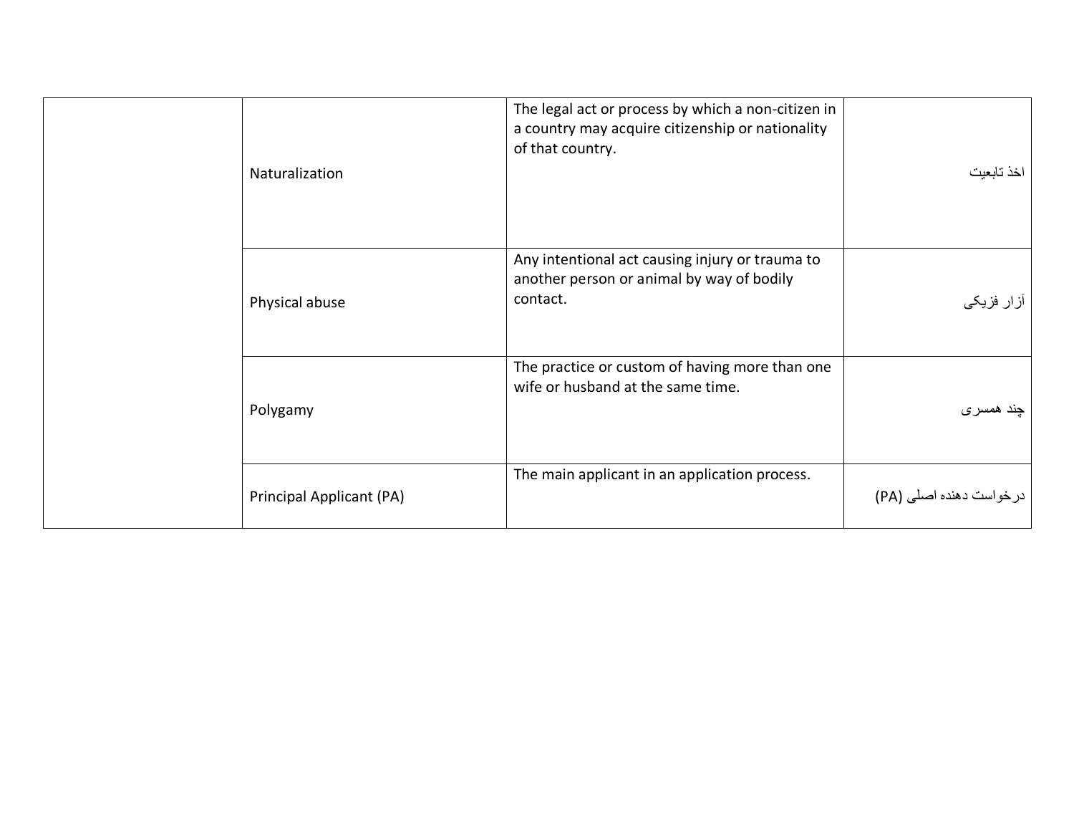| Naturalization           | The legal act or process by which a non-citizen in<br>a country may acquire citizenship or nationality<br>of that country. | خذ تابعيت                |
|--------------------------|----------------------------------------------------------------------------------------------------------------------------|--------------------------|
| Physical abuse           | Any intentional act causing injury or trauma to<br>another person or animal by way of bodily<br>contact.                   | آزار فزیک <i>ی</i>       |
| Polygamy                 | The practice or custom of having more than one<br>wife or husband at the same time.                                        | چند همسری                |
| Principal Applicant (PA) | The main applicant in an application process.                                                                              | در خواست دهنده اصلي (PA) |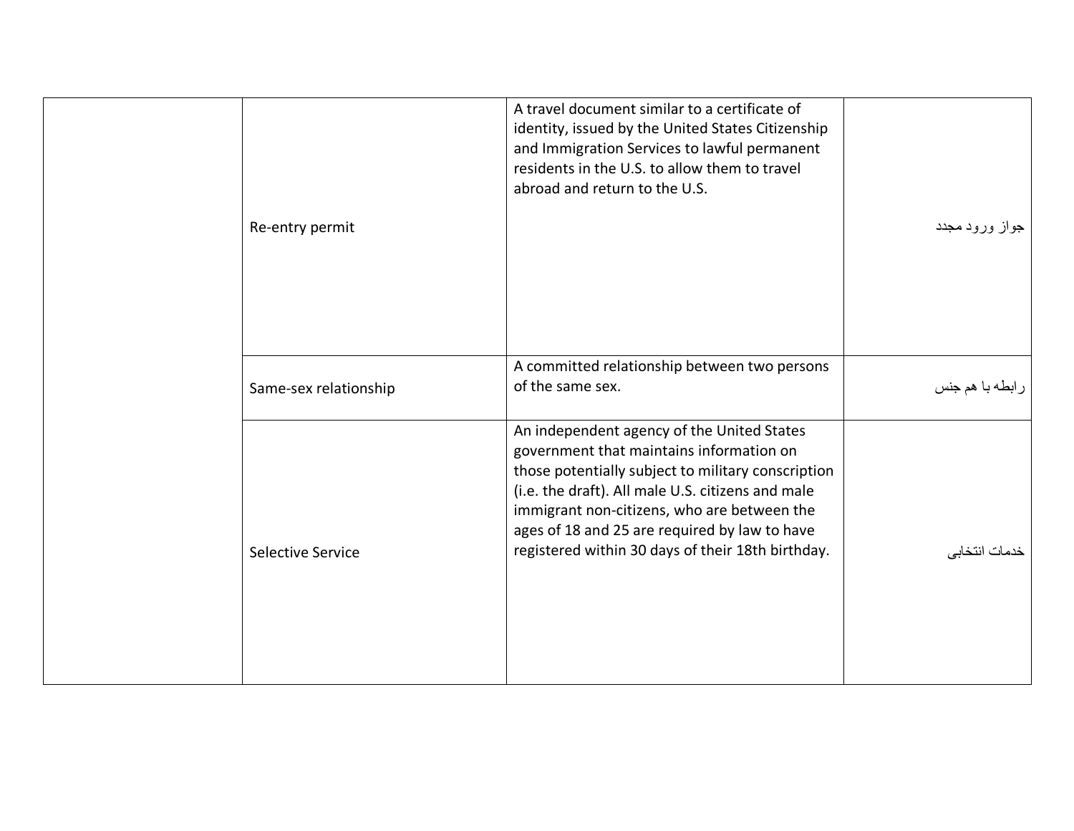| Re-entry permit       | A travel document similar to a certificate of<br>identity, issued by the United States Citizenship<br>and Immigration Services to lawful permanent<br>residents in the U.S. to allow them to travel<br>abroad and return to the U.S.                                                                                                                   | جواز ورود مجدد  |
|-----------------------|--------------------------------------------------------------------------------------------------------------------------------------------------------------------------------------------------------------------------------------------------------------------------------------------------------------------------------------------------------|-----------------|
| Same-sex relationship | A committed relationship between two persons<br>of the same sex.                                                                                                                                                                                                                                                                                       | رابطه با هم جنس |
| Selective Service     | An independent agency of the United States<br>government that maintains information on<br>those potentially subject to military conscription<br>(i.e. the draft). All male U.S. citizens and male<br>immigrant non-citizens, who are between the<br>ages of 18 and 25 are required by law to have<br>registered within 30 days of their 18th birthday. | خدمات انتخابي   |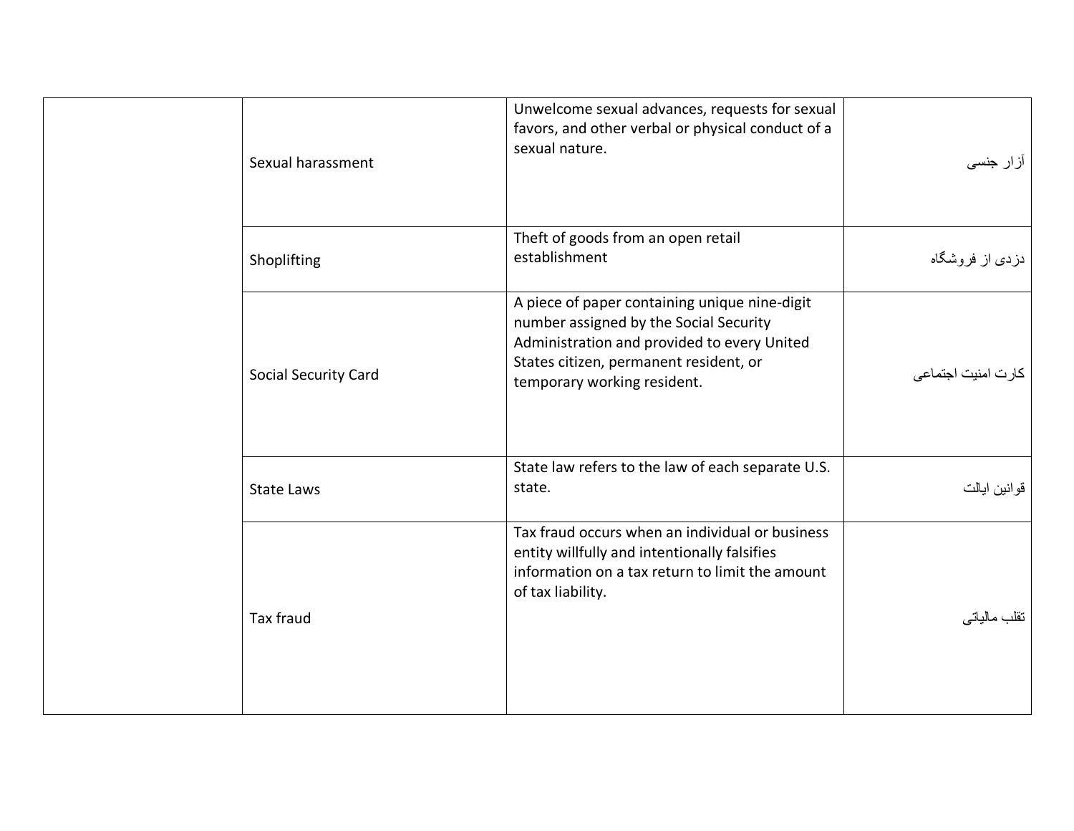| Sexual harassment    | Unwelcome sexual advances, requests for sexual<br>favors, and other verbal or physical conduct of a<br>sexual nature.                                                                                           | آزار جنس <i>ی</i>       |
|----------------------|-----------------------------------------------------------------------------------------------------------------------------------------------------------------------------------------------------------------|-------------------------|
| Shoplifting          | Theft of goods from an open retail<br>establishment                                                                                                                                                             | دزد <i>ی</i> از فروشگاه |
| Social Security Card | A piece of paper containing unique nine-digit<br>number assigned by the Social Security<br>Administration and provided to every United<br>States citizen, permanent resident, or<br>temporary working resident. | كارت امنيت اجتماعى      |
| <b>State Laws</b>    | State law refers to the law of each separate U.S.<br>state.                                                                                                                                                     | قوانين ايالت            |
| <b>Tax fraud</b>     | Tax fraud occurs when an individual or business<br>entity willfully and intentionally falsifies<br>information on a tax return to limit the amount<br>of tax liability.                                         | تقلب مالياتي            |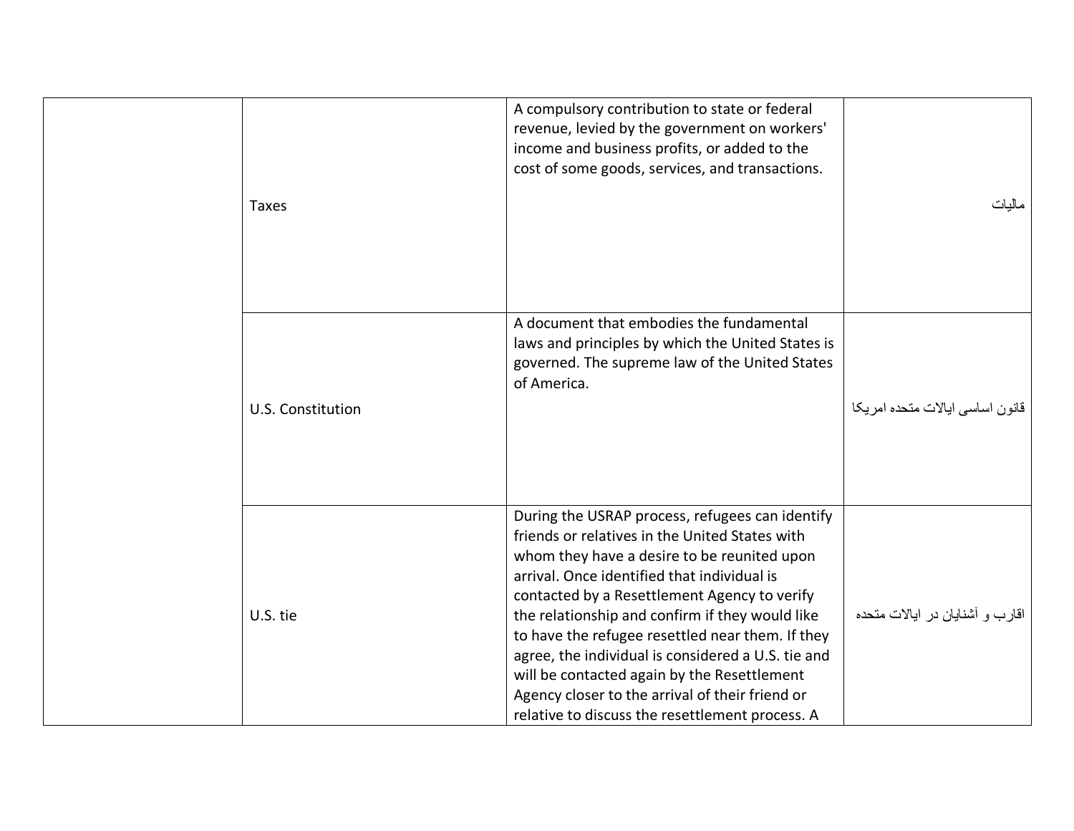| <b>Taxes</b>      | A compulsory contribution to state or federal<br>revenue, levied by the government on workers'<br>income and business profits, or added to the<br>cost of some goods, services, and transactions.                                                                                                                                                                                                                                                                                                                                                                 | مالبات                          |
|-------------------|-------------------------------------------------------------------------------------------------------------------------------------------------------------------------------------------------------------------------------------------------------------------------------------------------------------------------------------------------------------------------------------------------------------------------------------------------------------------------------------------------------------------------------------------------------------------|---------------------------------|
| U.S. Constitution | A document that embodies the fundamental<br>laws and principles by which the United States is<br>governed. The supreme law of the United States<br>of America.                                                                                                                                                                                                                                                                                                                                                                                                    | قانون اساسى ايالات متحده امريكا |
| U.S. tie          | During the USRAP process, refugees can identify<br>friends or relatives in the United States with<br>whom they have a desire to be reunited upon<br>arrival. Once identified that individual is<br>contacted by a Resettlement Agency to verify<br>the relationship and confirm if they would like<br>to have the refugee resettled near them. If they<br>agree, the individual is considered a U.S. tie and<br>will be contacted again by the Resettlement<br>Agency closer to the arrival of their friend or<br>relative to discuss the resettlement process. A | اقارب و آشنایان در ایالات متحده |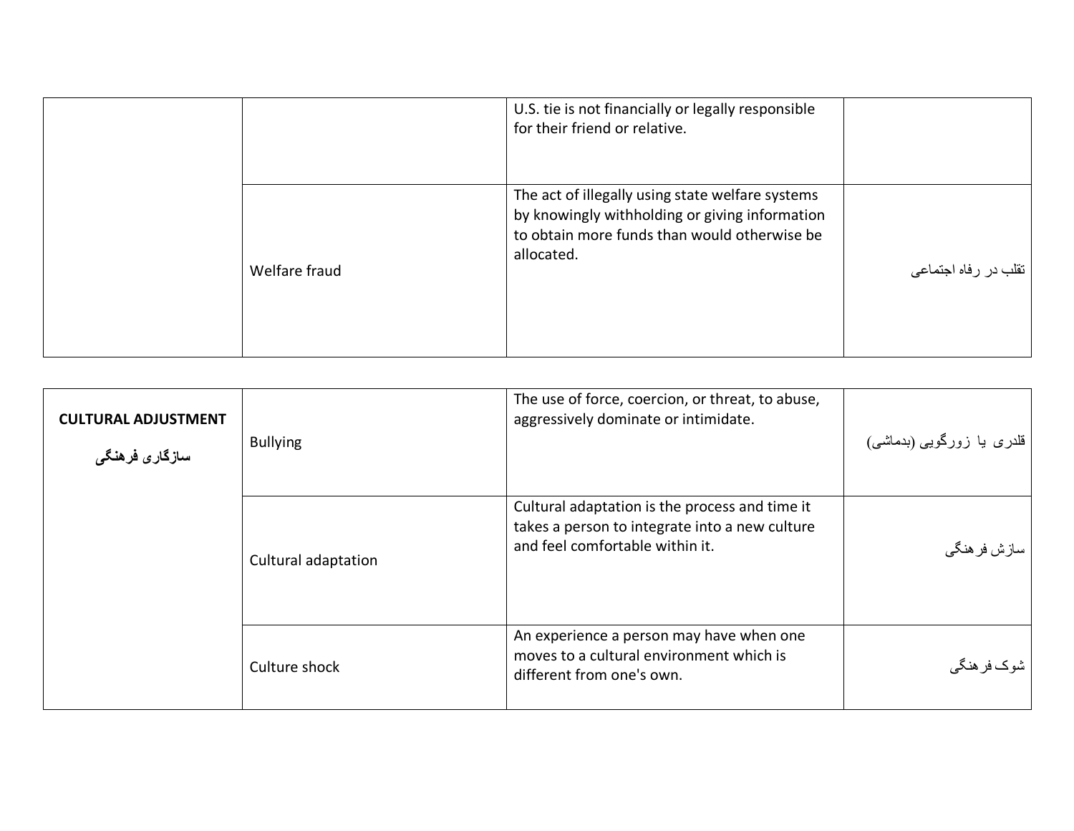|               | U.S. tie is not financially or legally responsible<br>for their friend or relative.                                                                              |                      |
|---------------|------------------------------------------------------------------------------------------------------------------------------------------------------------------|----------------------|
| Welfare fraud | The act of illegally using state welfare systems<br>by knowingly withholding or giving information<br>to obtain more funds than would otherwise be<br>allocated. | تقلب در رفاه اجتماعی |

<span id="page-42-0"></span>

| <b>CULTURAL ADJUSTMENT</b><br>سازگاری فرهنگی | <b>Bullying</b>     | The use of force, coercion, or threat, to abuse,<br>aggressively dominate or intimidate.                                            | قلدری یا زورگویی (بدماشی) |
|----------------------------------------------|---------------------|-------------------------------------------------------------------------------------------------------------------------------------|---------------------------|
|                                              | Cultural adaptation | Cultural adaptation is the process and time it<br>takes a person to integrate into a new culture<br>and feel comfortable within it. | سازش فر هنگي              |
|                                              | Culture shock       | An experience a person may have when one<br>moves to a cultural environment which is<br>different from one's own.                   | شوک فر هنگی               |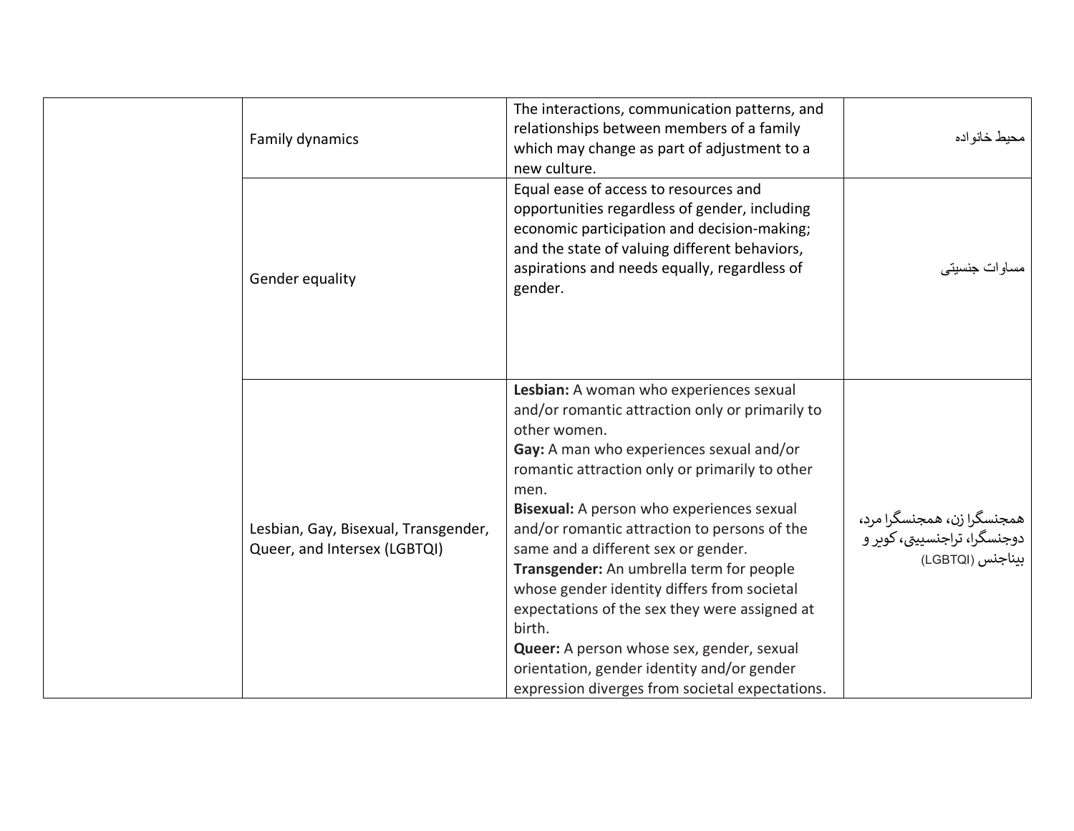| Family dynamics                                                      | The interactions, communication patterns, and<br>relationships between members of a family<br>which may change as part of adjustment to a<br>new culture.                                                                                                                                                                                                                                                                                                                                                                                                                                                                                                | محيط خانو اده                                                                  |
|----------------------------------------------------------------------|----------------------------------------------------------------------------------------------------------------------------------------------------------------------------------------------------------------------------------------------------------------------------------------------------------------------------------------------------------------------------------------------------------------------------------------------------------------------------------------------------------------------------------------------------------------------------------------------------------------------------------------------------------|--------------------------------------------------------------------------------|
| Gender equality                                                      | Equal ease of access to resources and<br>opportunities regardless of gender, including<br>economic participation and decision-making;<br>and the state of valuing different behaviors,<br>aspirations and needs equally, regardless of<br>gender.                                                                                                                                                                                                                                                                                                                                                                                                        | مساو ات جنسیتے                                                                 |
| Lesbian, Gay, Bisexual, Transgender,<br>Queer, and Intersex (LGBTQI) | Lesbian: A woman who experiences sexual<br>and/or romantic attraction only or primarily to<br>other women.<br>Gay: A man who experiences sexual and/or<br>romantic attraction only or primarily to other<br>men.<br>Bisexual: A person who experiences sexual<br>and/or romantic attraction to persons of the<br>same and a different sex or gender.<br>Transgender: An umbrella term for people<br>whose gender identity differs from societal<br>expectations of the sex they were assigned at<br>birth.<br>Queer: A person whose sex, gender, sexual<br>orientation, gender identity and/or gender<br>expression diverges from societal expectations. | همجنسگرا زن، همجنسگرا مرد،<br>دوجنسگرا، تراجنسییتی، کویر و<br>بيناجنس (LGBTQI) |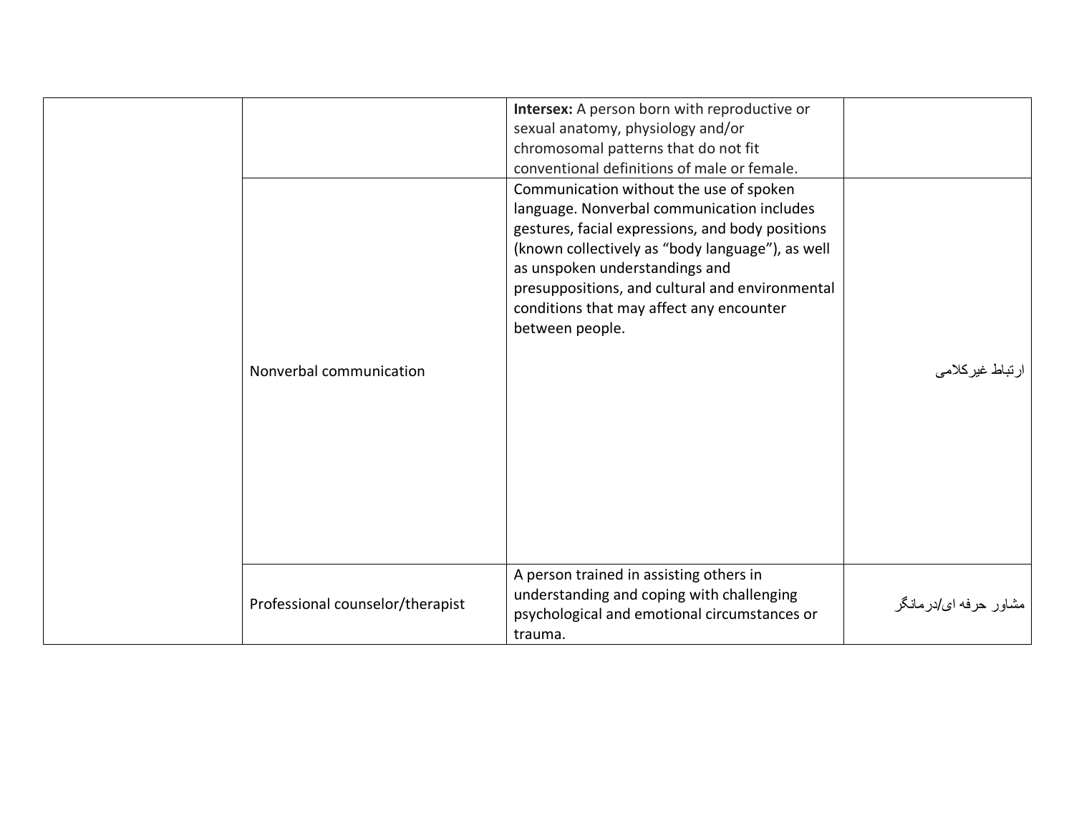|                                  | Intersex: A person born with reproductive or     |                       |
|----------------------------------|--------------------------------------------------|-----------------------|
|                                  | sexual anatomy, physiology and/or                |                       |
|                                  | chromosomal patterns that do not fit             |                       |
|                                  | conventional definitions of male or female.      |                       |
|                                  | Communication without the use of spoken          |                       |
|                                  | language. Nonverbal communication includes       |                       |
|                                  | gestures, facial expressions, and body positions |                       |
|                                  | (known collectively as "body language"), as well |                       |
|                                  | as unspoken understandings and                   |                       |
|                                  | presuppositions, and cultural and environmental  |                       |
|                                  | conditions that may affect any encounter         |                       |
|                                  | between people.                                  |                       |
|                                  |                                                  |                       |
| Nonverbal communication          |                                                  | ر تباط غیرکلامی       |
|                                  |                                                  |                       |
|                                  |                                                  |                       |
|                                  |                                                  |                       |
|                                  |                                                  |                       |
|                                  |                                                  |                       |
|                                  |                                                  |                       |
|                                  |                                                  |                       |
|                                  |                                                  |                       |
|                                  |                                                  |                       |
|                                  | A person trained in assisting others in          |                       |
|                                  | understanding and coping with challenging        |                       |
| Professional counselor/therapist | psychological and emotional circumstances or     | مشاور حرفه اي/درمانگر |
|                                  | trauma.                                          |                       |
|                                  |                                                  |                       |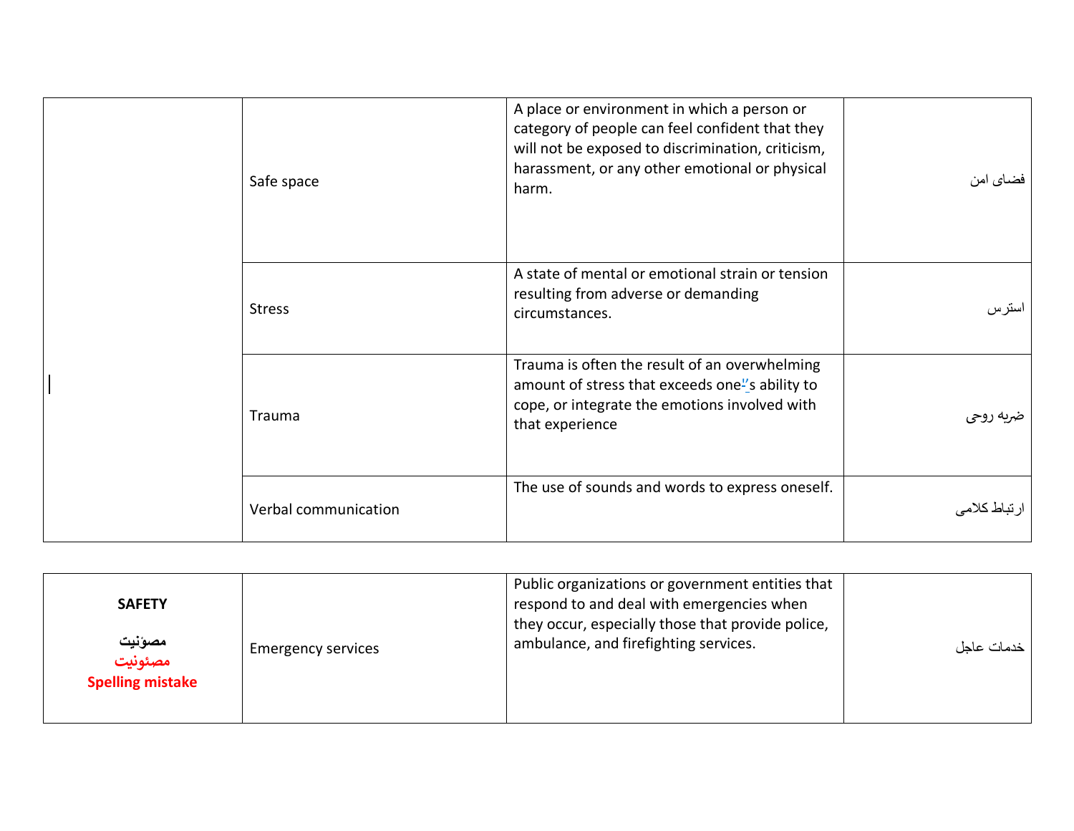| Safe space           | A place or environment in which a person or<br>category of people can feel confident that they<br>will not be exposed to discrimination, criticism,<br>harassment, or any other emotional or physical<br>harm. | فضاي امن    |
|----------------------|----------------------------------------------------------------------------------------------------------------------------------------------------------------------------------------------------------------|-------------|
| <b>Stress</b>        | A state of mental or emotional strain or tension<br>resulting from adverse or demanding<br>circumstances.                                                                                                      | استرس       |
| Trauma               | Trauma is often the result of an overwhelming<br>amount of stress that exceeds one"s ability to<br>cope, or integrate the emotions involved with<br>that experience                                            | غريه روحي   |
| Verbal communication | The use of sounds and words to express oneself.                                                                                                                                                                | رتباط كلامي |

<span id="page-45-0"></span>

| <b>SAFETY</b><br>مصونيت<br>مصئونيت | <b>Emergency services</b> | Public organizations or government entities that<br>respond to and deal with emergencies when<br>they occur, especially those that provide police,<br>ambulance, and firefighting services. | خدمات عاجل |
|------------------------------------|---------------------------|---------------------------------------------------------------------------------------------------------------------------------------------------------------------------------------------|------------|
| <b>Spelling mistake</b>            |                           |                                                                                                                                                                                             |            |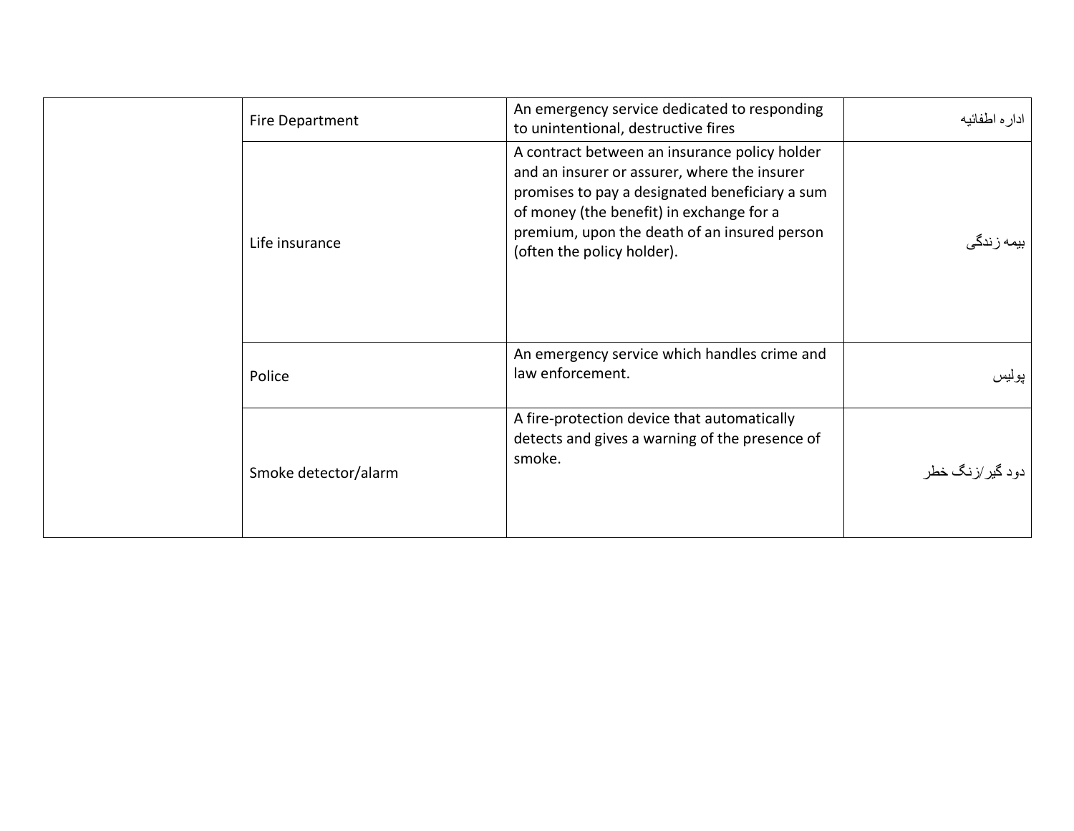| Fire Department      | An emergency service dedicated to responding<br>to unintentional, destructive fires                                                                                                                                                                                       | ادار ہ اطفائیه      |
|----------------------|---------------------------------------------------------------------------------------------------------------------------------------------------------------------------------------------------------------------------------------------------------------------------|---------------------|
| Life insurance       | A contract between an insurance policy holder<br>and an insurer or assurer, where the insurer<br>promises to pay a designated beneficiary a sum<br>of money (the benefit) in exchange for a<br>premium, upon the death of an insured person<br>(often the policy holder). | بیمه ز ندگ <i>ی</i> |
| Police               | An emergency service which handles crime and<br>law enforcement.                                                                                                                                                                                                          | پوليس               |
| Smoke detector/alarm | A fire-protection device that automatically<br>detects and gives a warning of the presence of<br>smoke.                                                                                                                                                                   | دود گیر/زنگ خطر     |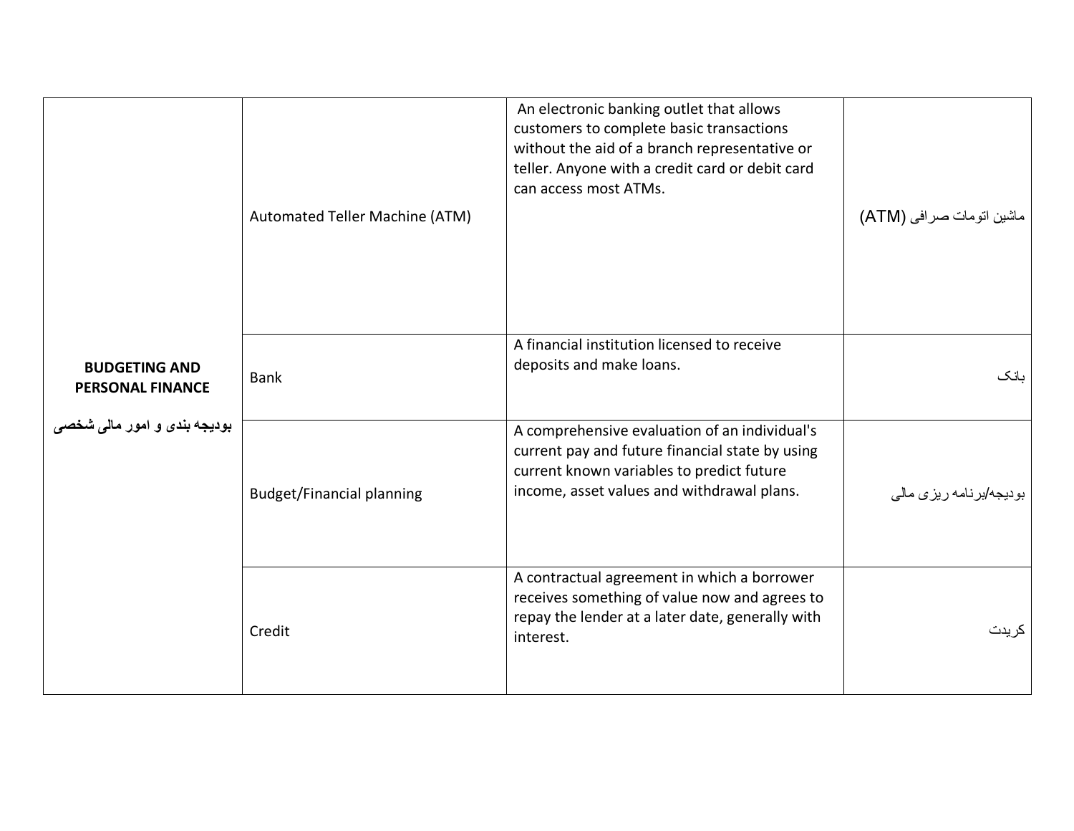<span id="page-47-0"></span>

| <b>BUDGETING AND</b><br><b>PERSONAL FINANCE</b><br>بودیجه بند <i>ی</i> و امور مال <i>ی</i> شخص <i>ی</i> | Automated Teller Machine (ATM)   | An electronic banking outlet that allows<br>customers to complete basic transactions<br>without the aid of a branch representative or<br>teller. Anyone with a credit card or debit card<br>can access most ATMs. | ماشین اتومات صرافی (ATM)        |
|---------------------------------------------------------------------------------------------------------|----------------------------------|-------------------------------------------------------------------------------------------------------------------------------------------------------------------------------------------------------------------|---------------------------------|
|                                                                                                         | <b>Bank</b>                      | A financial institution licensed to receive<br>deposits and make loans.                                                                                                                                           | ىانك                            |
|                                                                                                         | <b>Budget/Financial planning</b> | A comprehensive evaluation of an individual's<br>current pay and future financial state by using<br>current known variables to predict future<br>income, asset values and withdrawal plans.                       | بودیجه/برنامه ریزی مال <i>ی</i> |
|                                                                                                         | Credit                           | A contractual agreement in which a borrower<br>receives something of value now and agrees to<br>repay the lender at a later date, generally with<br>interest.                                                     | کر پدت                          |